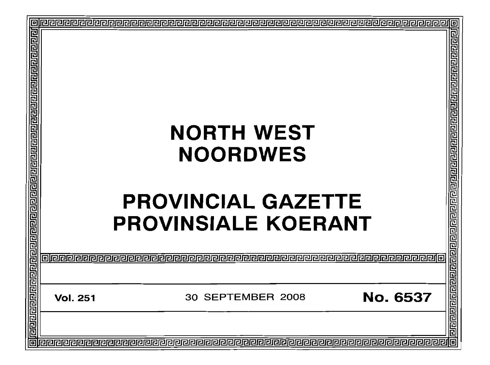| 回                                          |                                                                                                                                                                                                                                                                                      | Θ                                 |
|--------------------------------------------|--------------------------------------------------------------------------------------------------------------------------------------------------------------------------------------------------------------------------------------------------------------------------------------|-----------------------------------|
|                                            |                                                                                                                                                                                                                                                                                      |                                   |
|                                            |                                                                                                                                                                                                                                                                                      |                                   |
| <u>गगगगगगगगगगगगगगगगगगगगगगगगगगगग</u>        |                                                                                                                                                                                                                                                                                      | <u>गगगगगगगगगगगगगगगगगगगगगगगगगग</u> |
|                                            |                                                                                                                                                                                                                                                                                      |                                   |
|                                            |                                                                                                                                                                                                                                                                                      |                                   |
|                                            |                                                                                                                                                                                                                                                                                      |                                   |
|                                            | <b>NORTH WEST</b>                                                                                                                                                                                                                                                                    |                                   |
|                                            | <b>NOORDWES</b>                                                                                                                                                                                                                                                                      |                                   |
|                                            |                                                                                                                                                                                                                                                                                      |                                   |
|                                            |                                                                                                                                                                                                                                                                                      |                                   |
|                                            | <b>PROVINCIAL GAZET</b>                                                                                                                                                                                                                                                              |                                   |
|                                            |                                                                                                                                                                                                                                                                                      |                                   |
|                                            |                                                                                                                                                                                                                                                                                      |                                   |
|                                            |                                                                                                                                                                                                                                                                                      |                                   |
|                                            |                                                                                                                                                                                                                                                                                      |                                   |
|                                            |                                                                                                                                                                                                                                                                                      |                                   |
|                                            |                                                                                                                                                                                                                                                                                      |                                   |
| <u> बाबान में बाबा बाबा बाबा बाबा बाबा</u> | <b>PROVINSIALE KOERANT<br/> CONTINSIALE KOERANT<br/> CONTINSIALE KOERANT<br/> CONTINUE RANT<br/> CONTINUE RANT<br/> CONTINUE RANT<br/> CONTINUE RANT<br/> CONTINUE RAZETTE<br/> CONTINUE RANT<br/> CONTINUE RAZETTE<br/> CONTINUE RAZETTE<br/> CONTINUE RAZETTE<br/> CONTINUE RA</b> |                                   |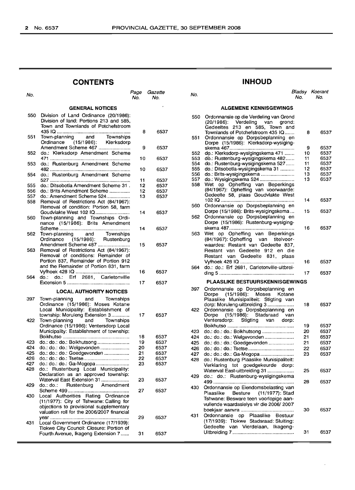# **CONTENTS INHOUD**

| No.        |                                                                                                                         | Page<br>No. | Gazette<br>No. | No.        |                                                                                                                 | No.      | Bladsy Koerani<br>No. |
|------------|-------------------------------------------------------------------------------------------------------------------------|-------------|----------------|------------|-----------------------------------------------------------------------------------------------------------------|----------|-----------------------|
|            | <b>GENERAL NOTICES</b>                                                                                                  |             |                |            | <b>ALGEMENE KENNISGEWINGS</b>                                                                                   |          |                       |
| 550        | Division of Land Ordinance (20/1986):<br>Division of land: Portions 213 and 585,<br>Town and Townlands of Potchefstroom |             |                | 550        | Ordonnansie op die Verdeling van Grond<br>(20/1986): Verdeling van<br>grond:<br>Gedeeltes 213 en 585, Town and  |          |                       |
| 551        | Town-planning<br>and<br>Townships<br>Ordinance<br>$(15/1986)$ :<br>Klerksdorp                                           | 8           | 6537           | 551        | Townlands of Potchefstroom 435 IQ<br>Ordonnansie op Dorpsbeplanning en<br>Dorpe (15/1986): Klerksdorp-wysiging- | 8        | 653                   |
| 552.       | Amendment Scheme 467<br>do.: Klerksdorp Amendment Scheme                                                                | 9           | 6537           | 552        | do.: Klerksdorp-wysigingskema 471                                                                               | 9<br>10  | 653<br>653            |
| 553        | do.: Rustenburg Amendment Scheme                                                                                        | 10          | 6537           | 553<br>554 | do.: Rustenburg-wysigingskema 482<br>do.: Rustenburg-wysigingskema 527                                          | 11<br>11 | 653<br>653            |
| 554        | do.: Rustenburg Amendment Scheme                                                                                        | 10          | 6537           | 555<br>556 | do.: Ditsobotla-wysigingskema 31<br>do.: Brits-wysigingskema                                                    | 12<br>13 | 653<br>653            |
|            |                                                                                                                         | 11          | 6537           | 557        | do.: Wysigingskema 524                                                                                          | 13       | 653                   |
| 555        | do.: Ditsobotla Amendment Scheme 31.                                                                                    | 12          | 6537           | 558        | Wet op Opheffing van Beperkings<br>(84/1967): Opheffing van voorwaarde:                                         |          |                       |
| 556.       | do.: Brits Amendment Scheme                                                                                             | 12          | 6537           |            | Gedeelte 58, plaas Goudvlakte West                                                                              |          |                       |
| 557<br>558 | do.: Amendment Scheme 524<br>Removal of Restrictions Act (84/1967):                                                     | 13          | 6537           |            |                                                                                                                 | 14       | 653                   |
|            | Removal of condition: Portion 58, farm                                                                                  |             |                | 560        | Ordonnansie op Dorpsbeplanning en                                                                               |          |                       |
|            | Goudvlakte West 102 IQ                                                                                                  | 14          | 6537           |            | Dorpe (15/1986): Brits-wysigingskema<br>562 Ordonnansie op Dorpsbeplanning en                                   | 15       | 653                   |
| 560        | Town-planning and Townships Ordi-<br>nance (15/1986): Brits Amendment                                                   |             |                |            | Dorpe (15/1986): Rustenburg-wysiging-                                                                           |          |                       |
|            |                                                                                                                         | 14          | 6537           |            |                                                                                                                 | 16       | 653                   |
| 562        | Town-planning<br>and<br>Townships                                                                                       |             |                | 563        | Wet op Opheffing van Beperkings                                                                                 |          |                       |
|            | Ordinance<br>(15/1986):<br>Rustenburg<br>Amendment Scheme 487                                                           | 15          | 6537           |            | (84/1967): Opheffing van titelvoor-<br>waardes: Restant van Gedeelte 837,                                       |          |                       |
| 563        | Removal of Restrictions Act (84/1967):                                                                                  |             |                |            | Restant van Gedeelte 912 en die                                                                                 |          |                       |
|            | Removal of conditions: Remainder of                                                                                     |             |                |            | Restant van Gedeelte 831, plaas                                                                                 |          |                       |
|            | Portion 837, Remainder of Portion 912                                                                                   |             |                |            |                                                                                                                 | 16       | 653                   |
|            | and the Remainder of Portion 831, farm                                                                                  | 16          | 6537           |            | 564 do.: do.: Erf 2681, Carletonville-uitbrei-                                                                  |          |                       |
| 564        | do.: do.: Erf 2681, Carletonville                                                                                       |             |                |            |                                                                                                                 | 17       | 653                   |
|            |                                                                                                                         | 17          | 6537           |            | <b>PLAASLIKE BESTUURSKENNISGEWINGS</b>                                                                          |          |                       |
|            | <b>LOCAL AUTHORITY NOTICES</b>                                                                                          |             |                |            | 397 Ordonnansie op Dorpsbeplanning en<br>Dorpe<br>(15/1986): Moses<br>Kotane                                    |          |                       |
| 397        | Town-planning<br>and<br>Townships                                                                                       |             |                |            | Plaaslike Munisipaliteit: Stigting van                                                                          |          |                       |
|            | Ordinance (15/1986): Moses Kotane<br>Local Municipality: Establishment of                                               |             |                |            | dorp: Moruleng-uitbreiding 3                                                                                    | 18       | 653                   |
|            | township: Moruleng Extension 3                                                                                          | 17          | 6537           |            | 422 Ordonnansie op Dorpsbeplanning en<br>Dorpe<br>(15/1986): Stadsraad<br>van                                   |          |                       |
| 422        | Town-planning<br>and<br>Townships                                                                                       |             |                |            | Ventersdorp: Stigting van dorp:                                                                                 |          |                       |
|            | Ordinance (15/1986): Ventersdorp Local                                                                                  |             |                |            |                                                                                                                 | 19       | 653                   |
|            | Municipality: Establishment of township:                                                                                |             |                | 423        |                                                                                                                 | 20       | 653                   |
| 423        |                                                                                                                         | 18<br>19    | 6537<br>6537   | 424<br>425 | do.: do.: do.: Welgevonden<br>do.: do.: do.: Goedgevonden                                                       | 21<br>21 | 653<br>653            |
| 424        | do.: do.: do.: Welgevonden                                                                                              | 20          | 6537           | 426        |                                                                                                                 | 22       | 653                   |
| 425        | do.: do.: do.: Goedgevonden                                                                                             | 21          | 6537           | 427        | do.: do.: do.: Ga-Mogopa                                                                                        | 23       | 653                   |
| 426        |                                                                                                                         | 22          | 6537           | 428        | do.: Rustenburg Plaaslike Munisipaliteit:                                                                       |          |                       |
| 427        | do.: do.: do.: Ga-Mogopa                                                                                                | 23          | 6537           |            | Verklaring tot goedgekeurde dorp:                                                                               |          |                       |
|            | 428 do.: Rustenburg Local Municipality:<br>Declaration as an approved township:                                         |             |                |            | Waterval East-uitbreiding 31                                                                                    | 25       | 653                   |
|            | Waterval East Extension 31                                                                                              | 23          | 6537           |            | 429 do.: do.: Rustenburg-wysigingskema                                                                          | 28       | 653                   |
| 429        | do: do.<br>Rustenburg<br>Amendment                                                                                      |             |                | 430        | Ordonnansie op Eiendomsbelasting van                                                                            |          |                       |
|            |                                                                                                                         | 27          | 6537           |            | Plaaslike<br>Besture<br>(11/1977): Stad                                                                         |          |                       |
| 430        | Local Authorities Rating Ordinance<br>(11/1977): City of Tshwane: Calling for                                           |             |                |            | Tshwane: Besware teen voorlopige aan-                                                                           |          |                       |
|            | objections to provisional supplementary                                                                                 |             |                |            | vullende waardasielys vir die 2006/2007                                                                         |          |                       |
|            | valuation roll for the 2006/2007 financial                                                                              |             |                |            |                                                                                                                 | 30       | 653                   |
|            |                                                                                                                         | 29          | 6537           | 431        | Ordonnansie op Plaaslike Bestuur<br>(17/1939): Tlokwe Stadsraad: Sluiting:                                      |          |                       |
| 431        | Local Government Ordinance (17/1939):                                                                                   |             |                |            | Gedeelte van Vierdelaan, Ikageng-                                                                               |          |                       |
|            | Tlokwe City Council: Closure: Portion of<br>Fourth Avenue, Ikageng Extension 7                                          | 31          | 6537           |            |                                                                                                                 | 31       | 653                   |
|            |                                                                                                                         |             |                |            |                                                                                                                 |          |                       |

|            | <b>ALGEMENE KENNISGEWINGS</b>                                                                                                                                                        |          |              |
|------------|--------------------------------------------------------------------------------------------------------------------------------------------------------------------------------------|----------|--------------|
| 550        | Ordonnansie op die Verdeling van Grond<br>(20/1986): Verdeling van<br>arond:<br>Gedeeltes 213 en 585, Town and                                                                       |          |              |
| 551        | Townlands of Potchefstroom 435 IQ<br>Ordonnansie op Dorpsbeplanning en<br>Dorpe (15/1986): Klerksdorp-wysiging-                                                                      | 8        | 6537         |
|            |                                                                                                                                                                                      | 9        | 6537         |
| 552        | do.: Klerksdorp-wysigingskema 471                                                                                                                                                    | 10       | 6537         |
| 553<br>554 | do.: Rustenburg-wysigingskema 482<br>do.: Rustenburg-wysigingskema 527                                                                                                               | 11<br>11 | 6537<br>6537 |
| 555        | do.: Ditsobotla-wysigingskema 31                                                                                                                                                     | 12       | 6537         |
| 556        | do.: Brits-wysigingskema                                                                                                                                                             | 13       | 6537         |
| 557        | do.: Wysigingskema 524                                                                                                                                                               | 13       | 6537         |
| 558        | Wet op Opheffing van Beperkings<br>(84/1967): Opheffing van voorwaarde:<br>Gedeelte 58, plaas Goudvlakte West                                                                        |          |              |
|            |                                                                                                                                                                                      | 14       | 6537         |
| 560        | Ordonnansie op Dorpsbeplanning en                                                                                                                                                    |          |              |
| 562        | Dorpe (15/1986): Brits-wysigingskema<br>Ordonnansie op Dorpsbeplanning en<br>Dorpe (15/1986): Rustenburg-wysiging-                                                                   | 15       | 6537         |
|            |                                                                                                                                                                                      | 16       | 6537         |
| 563        | Wet op Opheffing van Beperkings<br>(84/1967): Opheffing van titelvoor-<br>waardes: Restant van Gedeelte 837,                                                                         |          |              |
|            | Restant van Gedeelte 912 en<br>die<br>Restant van Gedeelte 831, plaas                                                                                                                |          |              |
| 564        | do.: do.: Erf 2681, Carletonville-uitbrei-                                                                                                                                           | 16       | 6537         |
|            |                                                                                                                                                                                      | 17       | 6537         |
|            | PLAASLIKE BESTUURSKENNISGEWINGS                                                                                                                                                      |          |              |
| 397        | Ordonnansie op Dorpsbeplanning en                                                                                                                                                    |          |              |
| 422        | (15/1986): Moses Kotane<br>Dorpe<br>Plaaslike Munisipaliteit: Stigting van<br>dorp: Moruleng-uitbreiding 3<br>Ordonnansie op Dorpsbeplanning en<br>(15/1986): Stadsraad van<br>Dorpe | 18       | 6537         |
|            | Ventersdorp: Stigting van<br>dorp:                                                                                                                                                   |          |              |
|            |                                                                                                                                                                                      | 19       | 6537         |
| 423        | do.: do.: do.: Boikhutsong                                                                                                                                                           | 20       | 6537         |
| 424        | do.: do.: do.: Welgevonden                                                                                                                                                           | 21       | 6537         |
| 425        | do.: do.: do.: Goedgevonden                                                                                                                                                          | 21       | 6537         |
| 426        | do.: do.: do.: Tsetse                                                                                                                                                                | 22       | 6537         |
| 427        | do.: do.: do.: Ga-Mogopa                                                                                                                                                             | 23       | 6537         |
| 428        | do.: Rustenburg Plaaslike Munisipaliteit:                                                                                                                                            |          |              |
|            | Verklaring tot goedgekeurde dorp:                                                                                                                                                    |          |              |
|            | Waterval East-uitbreiding 31                                                                                                                                                         | 25       | 6537         |
| 429        | do.: do.: Rustenburg-wysigingskema                                                                                                                                                   |          |              |
|            |                                                                                                                                                                                      | 28       | 6537         |
| 430        | Ordonnansie op Eiendomsbelasting van<br>Plaaslike<br>(11/1977): Stad                                                                                                                 |          |              |
|            | <b>Besture</b><br>Tshwane: Besware teen voorlopige aan-                                                                                                                              |          |              |
|            | vullende waardasielys vir die 2006/2007                                                                                                                                              |          |              |
|            |                                                                                                                                                                                      | 30       | 6537         |
| 431        | op Plaaslike<br>Ordonnansie<br>Bestuur                                                                                                                                               |          |              |
|            | (17/1939): Tlokwe Stadsraad: Sluiting:                                                                                                                                               |          |              |
|            | Gedeelte van Vierdelaan, Ikageng-                                                                                                                                                    |          |              |
|            |                                                                                                                                                                                      | 31       | 6537         |
|            |                                                                                                                                                                                      |          |              |

 $\cdot$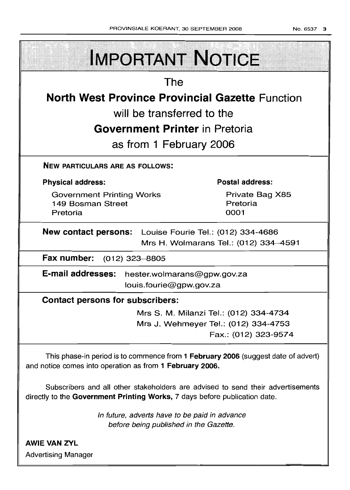**IMPORTANT NOTICE** The **North West Province Provincial Gazette** Function will be transferred to the **Government Printer** in Pretoria as from 1 February 2006 NEW PARTICULARS ARE AS FOLLOWS: Physical address: Postal address: Government Printing Works Private Bag X85 149 Bosman Street Pretoria Pretoria 0001 New contact persons: Louise Fourie Tel.: (012) 334-4686 Mrs H. Wolmarans Tel.: (012) 334-4591 Fax number: (012) 323-8805 **E-mail addresses:** hester.wolmarans@gpw.gov.za louis.fourie@gpw.gov.za Contact persons for subscribers: Mrs S. M. Milanzi Tel.: (012) 334-4734 Mrs J. Wehmeyer Tel.: (012) 334-4753 Fax.: (012) 323-9574

This phase-in period is to commence from 1 February 2006 (suggest date of advert) and notice comes into operation as from 1 February 2006.

Subscribers and all other stakeholders are advised to send their advertisements directly to the Government Printing Works, 7 days before publication date.

> In future, adverts have to be paid in advance before being published in the Gazette.

AWIE VAN ZVL Advertising Manager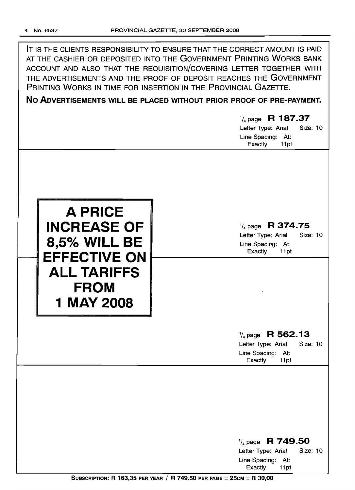IT IS THE CLIENTS RESPONSIBILITY TO ENSURE THAT THE CORRECT AMOUNT IS PAID AT THE CASHIER OR DEPOSITED INTO THE GOVERNMENT PRINTING WORKS BANK ACCOUNT AND ALSO THAT THE REQUISITION/COVERING LETTER TOGETHER WITH THE ADVERTISEMENTS AND THE PROOF OF DEPOSIT REACHES THE GOVERNMENT PRINTING WORKS IN TIME FOR INSERTION IN THE PROVINCIAL GAZETTE.

No ADVERTISEMENTS WILL BE PLACED WITHOUT PRIOR PROOF OF PRE-PAYMENT.

|                                                                                                                                              | $\frac{1}{4}$ page R 187.37<br>Letter Type: Arial<br>Size: 10<br>Line Spacing: At:<br>Exactly<br>11pt        |
|----------------------------------------------------------------------------------------------------------------------------------------------|--------------------------------------------------------------------------------------------------------------|
| <b>A PRICE</b><br><b>INCREASE OF</b><br><b>8,5% WILL BE</b><br><b>EFFECTIVE ON</b><br><b>ALL TARIFFS</b><br><b>FROM</b><br><b>1 MAY 2008</b> | $\frac{1}{4}$ page R 374.75<br>Letter Type: Arial<br>Size: 10<br>Line Spacing: At:<br>Exactly<br>11pt        |
|                                                                                                                                              | $\frac{1}{4}$ page R 562.13<br><b>Size: 10</b><br>Letter Type: Arial<br>Line Spacing: At:<br>Exactly<br>11pt |
|                                                                                                                                              | $\frac{1}{4}$ page R 749.50                                                                                  |
|                                                                                                                                              | Letter Type: Arial<br><b>Size: 10</b><br>Line Spacing: At:<br>Exactly<br>11pt                                |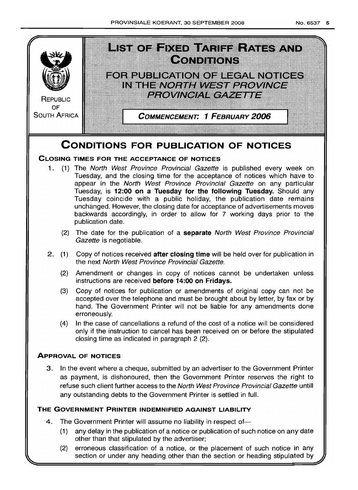

Tuesday coincide with a public holiday, the publication date remains unchanged. However, the closing date for acceptance of advertisements moves backwards accordingly, in order to allow for 7 working days prior to the publication date.

- (2) The date for the publication of a **separate** North West Province Provincial Gazette is negotiable.
- 2 (1) Copy of notices received **after closing time** will be held over for publication in the next North West Province Provincial Gazette.
	- (2) Amendment or changes in copy of notices cannot be undertaken unless instructions are received **before 14:00 on Fridays.**
	- (3) Copy of notices for publication or amendments of original copy can not be accepted over the telephone and must be brought about by letter, by fax or by hand. The Government Printer will not be liable for any amendments done erroneously.
	- (4) In the case of cancellations a refund of the cost of a notice will be considered only if the instruction to cancel has been received on or before the stipulated closing time as indicated in paragraph 2 (2)

# **ApPROVAL OF NOTICES**

3. In the event where a cheque, submitted by an advertiser to the Government Printer as payment, is dishonoured, then the Government Printer reserves the right to refuse such client further access to the North West Province Provincial Gazette untill any outstanding debts to the Government Printer is settled in full

# **THE GOVERNMENT PRINTER INDEMNIFIED AGAINST LIABILITY**

- 4. The Government Printer will assume no liability in respect of-
	- (1) any delay in the publication of a notice or publication of such notice on any date other than that stipulated by the advertiser;
	- (2) erroneous classification of a notice, or the placement of such notice in any section or under any heading other than the section or heading stipulated by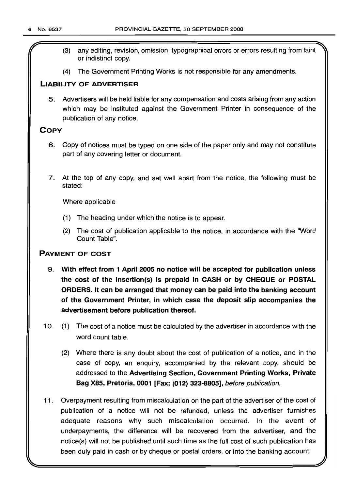- ?' (3) any editing, revision, omission, typographical errors or errors resulting from faint or indistinct copy.
- (4) The Government Printing Works is not responsible for any amendments.

### LIABILITY OF ADVERTISER

5. Advertisers will be held liable for any compensation and costs arising from any action which may be instituted against the Government Printer in consequence of the publication of any notice.

# **COPY**

- 6. Copy of notices must be typed on one side of the paper only and may not constitute part of any covering letter or document.
- 7. At the top of any copy, and set well apart from the notice, the following must be stated:

Where applicable

- (1) The heading under which the notice is to appear.
- (2) The cost of publication applicable to the notice, in accordance with the "Word Count Table".

# PAYMENT OF COST

- 9. With effect from 1 April 2005 no notice will be accepted for publication unless the cost of the insertion(s) is prepaid in CASH or by CHEQUE or POSTAL ORDERS. It can be arranged that money can be paid into the banking account of the Government Printer, in which case the deposit slip accompanies the advertisement before publication thereof.
- 10. (1) The cost of a notice must be calculated by the advertiser in accordance with the word count table.
	- (2) Where there is any doubt about the cost of publication of a notice, and in the case of copy, an enquiry, accompanied by the relevant copy, should be addressed to the Advertising Section, Government Printing Works, Private Bag X85, Pretoria, 0001 [Fax: (012) 323-8805], before publication.
- 11. Overpayment resulting from miscalculation on the part of the advertiser of the cost of publication of a notice will not be refunded, unless the advertiser furnishes adequate reasons why such miscalculation occurred. In the event of underpayments, the difference will be recovered from the advertiser, and the notice(s) will not be published until such time as the full cost of such publication has been duly paid in cash or by cheque or postal orders, or into the banking account.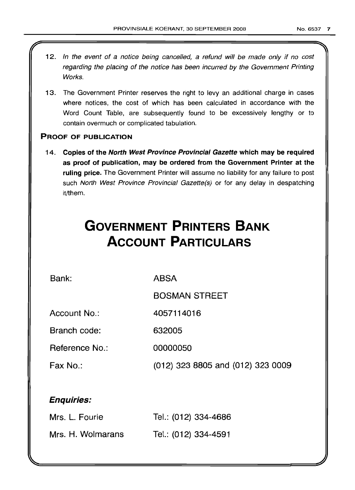- 12. In the event of a notice being cancelled, a refund will be made only if no cost regarding the placing of the notice has been incurred by the Government Printing Works.
- 13. The Government Printer reserves the right to levy an additional charge in cases where notices, the cost of which has been calculated in accordance with the Word Count Table, are subsequently found to be excessively lengthy or to contain overmuch or complicated tabulation.

# PROOF OF PUBLICATION

14. Copies of the North West Province Provincial Gazette which may be required as proof of publication, may be ordered from the Government Printer at the ruling price. The Government Printer will assume no liability for any failure to post such North West Province Provincial Gazette(s) or for any delay in despatching it/them.

# **GOVERNMENT PRINTERS BANK ACCOUNT PARTICULARS**

Bank:

ABSA

BOSMAN STREET

Account No.: 4057114016

Branch code: 632005

Reference No.: 00000050

Fax No.: (012) 323 8805 and (012) 323 0009

# Enquiries:

| Mrs. L. Fourie    | Tel.: (012) 334-4686 |
|-------------------|----------------------|
| Mrs. H. Wolmarans | Tel.: (012) 334-4591 |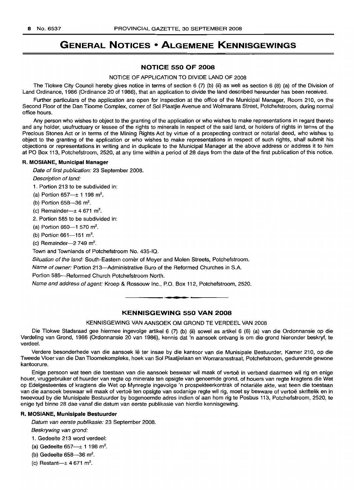# **GENERAL NOTICES • ALGEMENE KENNISGEWINGS**

### **NOTICE 550 OF 2008**

### NOTICE OF APPLICATION TO DIVIDE LAND OF 2008

The Tlokwe City Council hereby gives notice in terms of section 6 (7) (b) (ii) as well as section 6 (8) (a) of the Division of Land Ordinance, 1986 (Ordinance 20 of 1986), that an application to divide the land described hereunder has been received.

Further particulars of the application are open for inspection at the office of the Municipal Manager, Room 210, on the Second Floor of the Dan Tloome Complex, corner of Sol Plaatjie Avenue and Wolmarans Street, Potchefstroom, during normal office hours.

Any person who wishes to object to the granting of the application or who wishes to make representations in regard thereto and any holder, usufructuary or lessee of the rights to minerals in respect of the said land, or holders of rights in terms of the Precious Stones Act or in terms of the Mining Rights Act by virtue of a prospecting contract or notarial deed, who wishes to object to the granting of the application or who wishes to make representations in respect of such rights, shall submit his objections or representations in writing and in duplicate to the Municipal Manager at the above address or address it to him at PO Box 113, Potchefstroom, 2520, at any time within a period of 28 days from the date of the first publication of this notice.

#### R. **MOSIANE, Municipal Manager**

Date of first publication: 23 September 2008.

Description of land:

1. Portion 213 to be subdivided in:

(a) Portion  $657 - \pm 1198$  m<sup>2</sup>.

(b) Portion  $658 - 36$  m<sup>2</sup>.

(c) Remainder- $\pm$  4.671 m<sup>2</sup>.

2. Portion 585 to be subdivided in:

(a) Portion  $660 - 1570$  m<sup>2</sup>.

(b) Portion  $661 - 151$  m<sup>2</sup>.

(c) Remainder- $-2749$  m<sup>2</sup>.

Town and Townlands of Potchefstroom No. *435-/0.*

Situation of the land: South-Eastern corner of Meyer and Molen Streets, Potchefstroom.

Name of owner: Portion 213-Administrative Buro of the Reformed Churches in S.A.

Portion 585--Reformed Church Potchefstroom North.

Name and address of agent: Kroep & Rossouw Inc., P.O. Box 112, Potchefstroom, 2520.

### **KENNISGEWING 550 VAN 2008**

**• •**

### KENNISGEWING VAN AANSOEK OM GROND TE VERDEEL VAN 2008

Die Tlokwe Stadsraad gee hiermee ingevolge artikel 6 (7) (b) (ii) sowel as artikel 6 (8) (a) van die Ordonnansie op die Verdeling van Grond, 1986 (Ordonnansie 20 van 1986), kennis dat 'n aansoek ontvang is om die grond hieronder beskryt, te verdeel.

Verdere besonderhede van die aansoek lê ter insae by die kantoor van die Munisipale Bestuurder, Kamer 210, op die Tweede Vloer van die Dan Tloomekompleks, hoek van Sol Plaatjielaan en Womaransstraat, Potchefstroom, gedurende gewone kantoorure.

Enige persoon wat teen die toestaan van die aansoek beswaar wil maak of vertoë in verband daarmee wil rig en enige houer, vruggebruiker of huurder van regte op minerale ten opsigte van genoemde grond, of houers van regte kragtens die Wet op Edelgesteentes of kragtens die Wet op Mynregte ingevolge 'n prospekteerkontrak of notariele akte, wat teen die toestaan van die aansoek beswaar wil maak of vertoë ten opsigte van sodanige regte wil rig, moet sy besware of vertoë skriftelik en in tweevoud by die Munisipale Bestuurder by bogenoemde adres indien of aan hom rig te Posbus 113, Potchefstroom, 2520, te enige tyd binne 28 dae vanaf die datum van eerste publikasie van hierdie kennisgewing.

### R. **MOSIANE, Munisipale Bestuurder**

Datum van eerste publikasie: 23 September 2008.

Beskrywing van grond:

1. Gedeelte 213 word verdeel:

(a) Gedeelte  $657 - \pm 1198$  m<sup>2</sup>.

(b) Gedeelte  $658 - 36$  m<sup>2</sup>.

(c) Restant- $\pm$  4671 m<sup>2</sup>.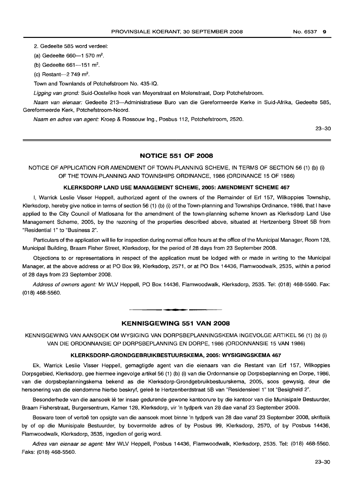2. Gedeelte 585 word verdeel:

(a) Gedeelte  $660-1570$  m<sup>2</sup>.

(b) Gedeelte 661—151 m².

(c) Restant $-2$  749 m<sup>2</sup>.

Town and Townlands of Potchefstroom No. 435-10.

Ligging van grond: Suid-Oostelike hoek van Meyerstraat en Molenstraat, Dorp Potchefstroom.

Naam van eienaar: Gedeelte 213--Administratiese Buro van die Gereformeerde Kerke in Suid-Afrika, Gedeelte 585, Gereformeerde Kerk, Potchefstroom-Noord.

Naam en adres van agent: Kroep & Rossouw Ing., Posbus 112, Potchefstroom, 2520.

23-30

### **NOTICE 551 OF 2008**

NOTICE OF APPLICATION FOR AMENDMENT OF TOWN-PLANNING SCHEME, IN TERMS OF SECTION 56 (1) (b) (i) OF THE TOWN-PLANNING AND TOWNSHIPS ORDINANCE, 1986 (ORDINANCE 15 OF 1986)

#### **KLERKSDORP LAND USE MANAGEMENT SCHEME, 2005: AMENDMENT SCHEME 467**

I, Warrick Leslie Visser Heppell, authorized agent of the owners of the Remainder of Erf 157, Wilkoppies Township, Klerksdorp, hereby give notice in terms of section 56 (1) (b) (i) of the Town-planning and Townships Ordinance, 1986, that I have applied to the City Council of Matlosana for the amendment of the town-planning scheme known as Klerksdorp Land Use Management Scheme, 2005, by the rezoning of the properties described above, situated at Hertzenberg Street 5B from "Residential 1" to "Business 2".

Particulars of the application will lie for inspection during normal office hours at the office of the Municipal Manager, Room 128, Municipal Building, Braam Fisher Street, Klerksdorp, for the period of 28 days from 23 September 2008.

Objections to or representations in respect of the application must be lodged with or made in writing to the Municipal Manager, at the above address or at PO Box 99, Klerksdorp, 2571, or at PO Box 14436, Flamwoodwalk, 2535, within a period of 28 days from 23 September 2008.

Address of owners agent: Mr WLV Heppell, PO Box 14436, Flamwoodwalk, Klerksdorp, 2535. Tel: (018) 468-5560. Fax: (018) 468-5560.

### **KENNISGEWING 551 VAN 2008**

**• •**

KENNISGEWING VAN AANSOEK OM WYSIGING VAN DORPSBEPLANNINGSKEMA INGEVOLGE ARTIKEL 56 (1) (b) (i) VAN DIE ORDONNANSIE OP DORPSBEPLANNING EN DORPE, 1986 (ORDONNANSIE 15 VAN 1986)

# **KLERKSDORP-GRONDGEBRUIKBESTUURSKEMA, 2005: WYSIGINGSKEMA 467**

Ek, Warrick Leslie Visser Heppeil, gemagtigde agent van die eienaars van die Restant van Erf 157, Wilkoppies Dorpsgebied, Klerksdorp, gee hiermee ingevolge artikel 56 (1) (b) (i) van die Ordonnansie op Dorpsbeplanning en Dorpe, 1986, van die dorpsbeplanningskema bekend as die Klerksdorp-Grondgebruikbestuurskema, 2005, soos gewysig, deur die hersonering van die eiendomme hierbo beskryf, geleë te Hertzenberdstraat 5B van "Residensieel 1" tot "Besigheid 2".

Besonderhede van die aansoek lê ter insae gedurende gewone kantoorure by die kantoor van die Munisipale Bestuurder, Braam Fisherstraat, Burgersentrum, Kamer 128, Klerksdorp, vir 'n tydperk van 28 dae vanaf 23 September 2008.

Besware teen of vertoe ten opsigte van die aansoek moet binne 'n tydperk van 28 dae vanaf 23 September 2008, skriftelik by of op die Munisipale Bestuurder, by bovermelde adres of by Posbus 99, Klerksdorp, 2570, of by Posbus 14436, Flamwoodwalk, Klerksdorp, 3535, ingedien of gerig word.

Adres van eienaar se agent: Mnr WLV Heppell, Posbus 14436, Flamwoodwalk, Klerksdorp, 2535. Tel: (018) 468-5560. Faks: (018) 468-5560.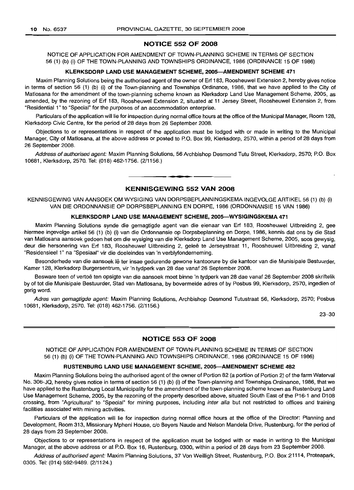### **NOTICE 552 OF 2008**

NOTICE OF APPLICATION FOR AMENDMENT OF TOWN-PLANNING SCHEME IN TERMS OF SECTION 56 (1) (b) (i) OF THE TOWN-PLANNING AND TOWNSHIPS ORDINANCE, 1986 (ORDINANCE 15 OF 1986)

#### **KLERKSDORP LAND USE MANAGEMENT SCHEME, 200S-AMENDMENT SCHEME 471**

Maxim Planning Solutions being the authorised agent of the owner of Erf 183, Roosheuwel Extension 2, hereby gives notice in terms of section 56 (1) (b) (i) of the Town-planning and Townships Ordinance, 1986, that we have applied to the City of Matlosana for the amendment of the town-planning scheme known as Klerksdorp Land Use Management Scheme, 2005, as amended, by the rezoning of Erf 183, Roosheuwel Extension 2, situated at 11 Jersey Street, Roosheuwel Extension 2, from "Residential 1" to "Special" for the purposes of an accommodation enterprise.

Particulars of the application will lie for inspection during normal office hours at the office of the Municipal Manager, Room 128, Klerksdorp Civic Centre, for the period of 28 days from 26 September 2008.

Objections to or representations in respect of the application must be lodged with or made in writing to the Municipal Manager, City of Matlosana, at the above address or posted to P.O. Box 99, Klerksdorp, 2570, within a period of 28 days from 26 September 2008.

Address of authorised agent: Maxim Planning Solutions, 56 Archbishop Desmond Tutu Street, Klerksdorp, 2570; P.O. Box 10681, Klerksdorp, 2570. Tel: (018) 462-1756. (2/1156.)

### **KENNISGEWING 552 VAN 2008**

I **\_ I**

KENNISGEWING VAN AANSOEK OM WYSIGING VAN DORPSBEPLANNINGSKEMA INGEVOLGE ARTIKEL 56 (1) (b) (i) VAN DIE ORDONNANSIE OP DORPSBEPLANNING EN DORPE, 1986 (ORDONNANSIE 15 VAN 1986)

#### **KLERKSDORP LAND USE MANAGEMENT SCHEME, 200S-WYSIGINGSKEMA 471**

Maxim Planning Solutions synde die gemagtigde agent van die eienaar van Erf 183, Roosheuwel Uitbreiding 2, gee hiermee ingevolge artikel 56 (1) (b) (i) van die Ordonnansie op Dorpsbeplanning en Dorpe, 1986, kennis dat ons by die Stad van Matlosana aansoek gedoen het om die wysiging van die Klerksdorp Land Use Management Scheme, 2005, soos gewysig, deur die hersonering van Erf 183, Roosheuwel Uitbreiding 2, geleë te Jerseystraat 11, Roosheuwel Uitbreiding 2, vanaf "Residensieel 1" na "Spesiaal" vir die doeleindes van 'n verblyfonderneming.

Besonderhede van die aansoek lê ter insae gedurende gewone kantoorure by die kantoor van die Munisipale Bestuurder, Kamer 128, Klerksdorp Burgersentrum, vir 'n tydperk van 28 dae vanaf 26 September 2008.

Besware teen of vertoë ten opsigte van die aansoek moet binne 'n tydperk van 28 dae vanaf 26 September 2008 skriftelik by of tot die Munisipale Bestuurder, Stad van Matlosana, by bovermelde adres of by Posbus 99, Klerksdorp, 2570, ingedien of gerig word.

Adres van gemagtigde agent: Maxim Planning Solutions, Archbishop Desmond Tutustraat 56, Klerksdorp, 2570; Posbus 10681, Klerksdorp, 2570. Tel: (018) 462-1756. (2/1156.)

23-30

### **NOTICE 553 OF 2008**

NOTICE OF APPLICATION FOR AMENDMENT OF TOWN-PLANNING SCHEME IN TERMS OF SECTION 56 (1) (b) (i) OF THE TOWN-PLANNING AND TOWNSHIPS ORDINANCE, 1986 (ORDINANCE 15 OF 1986)

#### **RUSTENBURG LAND USE MANAGEMENT SCHEME, 200S-AMENDMENT SCHEME 482**

Maxim Planning Solutions being the authorised agent of the owner of Portion 82 (a portion of Portion 2) of the farm Waterval No. 306-JQ, hereby gives notice in terms of section 56 (1) (b) (i) of the Town-planning and Townships Ordinance, 1986, that we have applied to the Rustenburg Local Municipality for the amendment of the town-planning scheme known as Rustenburg Land Use Management Scheme, 2005, by the rezoning of the property described above, situated South East of the P16-1 and 0108 crossing, from "Agricultural" to "Special" for mining purposes, including inter alia but not restricted to offices and training facilities associated with mining activities.

Particulars of the application will lie for inspection during normal office hours at the office of the Director: Planning and Development, Room 313, Missionary Mpheni House, c/o Beyers Naude and Nelson Mandela Drive, Rustenburg, for the period of 28 days from 23 September 2008.

Objections to or representations in respect of the application must be lodged with or made in writing to the Municipal Manager, at the above address or at P.O. Box 16, Rustenburg, 0300, within a period of 28 days from 23 September 2008.

Address of authorised agent: Maxim Planning Solutions, 37 Von Weilligh Street, Rustenburg, P.O. Box 21114, Proteapark, 0305. Tel: (014) 592-9489. (2/1124.)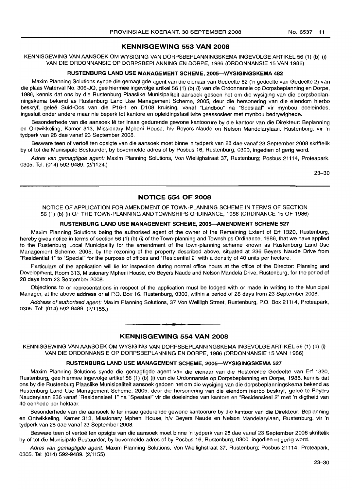### **KENNISGEWING 553 VAN 2008**

KENNISGEWING VAN AANSOEK OM WYSIGING VAN DORPSBEPLANNINGSKEMA INGEVOLGE ARTIKEL 56 (1) (b) (i) VAN DIE ORDONNANSIE OP DORPSBEPLANNING EN DORPE, 1986 (ORDONNANSIE 15 VAN 1986)

#### **RUSTENBURG LAND USE MANAGEMENT SCHEME, 2005-WYSIGINGSKEMA 482**

Maxim Planning Solutions synde die gemagtigde agent van die eienaar van Gedeelte 82 ('n gedeelte van Gedeelte 2) van die plaas Waterval No. 306-JQ, gee hiermee ingevolge artikel 56 (1) (b) (i) van die Ordonnansie op Dorpsbeplanning en Dorpe, 1986, kennis dat ons by die Rustenburg Plaaslike Munisipaliteit aansoek gedoen het om die wysiging van die dorpsbeplanningskema bekend as Rustenburg Land Use Management Scheme, 2005, deur die hersonering van die eiendom hierbo beskryf, gelee Suid-Oos van die P16-1 en Dl08 kruising, vanaf "Landbou" na "Spesiaal" vir mynbou doeleindes, ingesluit onder andere maar nie beperk tot kantore en opleidingsfasiliteite geassosieer met mynbou bedrywighede.

Besonderhede van die aansoek Ie ter insae gedurende gewone kantoorure by die kantoor van die Direkteur: Beplanning en Ontwikkeling, Kamer 313, Missionary Mpheni House, h/v Beyers Naude en Nelson Mandelarylaan, Rustenburg, vir 'n tydperk van 28 dae vanaf 23 September 2008.

Besware teen of vertoe ten opsigte van die aansoek moet binne 'n tydperk van 28 dae vanaf 23 September 2008 skriftelik by of tot die Munisipale Bestuurder, by bovermelde adres of by Posbus 16, Rustenburg, 0300, ingedien of gerig word.

Adres van gemagtigde agent: Maxim Planning Solutions, Von Wiellighstraat 37, Rustenburg; Posbus 21114, Proteapark, 0305. Tel: (014) 592-9489. (2/1124.)

23-30

### **NOTICE 554 OF 2008**

NOTICE OF APPLICATION FOR AMENDMENT OF TOWN-PLANNING SCHEME IN TERMS OF SECTION 56 (1) (b) (i) OF THE TOWN-PLANNING AND TOWNSHIPS ORDINANCE, 1986 (ORDINANCE 15 OF 1986)

### **RUSTENBURG LAND USE MANAGEMENT SCHEME, 2005-AMENDMENT SCHEME 527**

Maxim Planning Solutions being the authorised agent of the owner of the Remaining Extent of Erf 1320, Rustenburg, hereby gives notice in terms of section 56 (1) (b) (i) of the Town-planning and Townships Ordinance, 1986, that we have applied to the Rustenburg Local Municipality for the amendment of the town-planning scheme known as Rustenburg Land Use Management Scheme, 2005, by the rezoning of the property described above, situated at 236 Beyers Naude Drive from "Residential 1" to "Special" for the purpose of offices and "Residential 2" with a density of 40 units per hectare.

Particulars of the application will lie for inspection during normal office hours at the office of the Director: Planning and Development, Room 313, Missionary Mpheni House, c/o Beyers Naude and Nelson Mandela Drive, Rustenburg, for the period of 28 days from 23 September 2008.

Objections to or representations in respect of the application must be lodged with or made in writing to the Municipal Manager, at the above address or at P.O. Box 16, Rustenburg, 0300, within a period of 28 days from 23 September 2008.

Address of authorised agent: Maxim Planning Solutions, 37 Von Weilligh Street, Rustenburg, P.O. Box 21114, Proteapark, 0305. Tel: (014) 592-9489. (2/1155.)

### **KENNISGEWING 554 VAN 2008**

.**- .**

KENNISGEWING VAN AANSOEK OM WYSIGING VAN DORPSBEPLANNINGSKEMA INGEVOLGE ARTIKEL 56 (1) (b) (i) VAN DIE ORDONNANSIE OP DORPSBEPLANNING EN DORPE, 1986 (ORDONNANSIE 15 VAN 1986)

#### **RUSTENBURG LAND USE MANAGEMENT SCHEME, 2005-WYSIGINGSKEMA 527**

Maxim Planning Solutions synde die gemagtigde agent van die eienaar van die Resterende Gedeelte van Erf 1320, Rustenburg, gee hiermee ingevolge artikel 56 (1) (b) (i) van die Ordonnansie op Dorpsbeplanning en Dorpe, 1986, kennis dat ons by die Rustenburg Plaaslike Munisipaliteit aansoek gedoen het om die wysiging van die dorpsbeplanningskema bekend as Rustenburg Land Use Management Scheme, 2005, deur die hersonering van die eiendom hierbo beskryf, geleë te Beyers Nauderylaan 236 vanaf "Residensieel 1" na "Spesiaal" vir die doeleindes van kantore en "Residensieel 2" met 'n digtheid van 40 eenhede per hektaar.

Besonderhede van die aansoek lê ter insae gedurende gewone kantoorure by die kantoor van die Direkteur: Beplanning en Ontwikkeling, Kamer 313, Missionary Mpheni House, h/v Beyers Naude en Nelson Mandelarylaan, Rustenburg, vir 'n tydperk van 28 dae vanaf 23 September 2008.

Besware teen of vertoe ten opsigte van die aansoek moet binne 'n tydperk van 28 dae vanaf 23 September 2008 skriftelik by of tot die Munisipale Bestuurder, by bovermelde adres of by Posbus 16, Rustenburg, 0300, ingedien of gerig word.

Adres van gemagtigde agent: Maxim Planning Solutions, Von Wiellighstraat 37, Rustenburg; Posbus 21114, Proteapark, 0305. Tel: (014) 592-9489. (2/1155)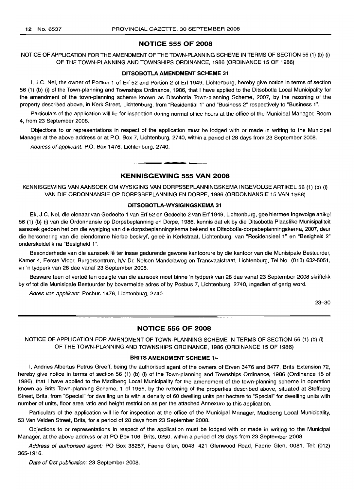### **NOTICE 555 OF 2008**

NOTICE OF APPLICATION FOR THE AMENDMENT OF THE TOWN-PLANNING SCHEME IN TERMS OF SECTION 56 (1) (b) (i) OF THE TOWN-PLANNING AND TOWNSHIPS ORDINANCE, 1986 (ORDINANCE 15 OF 1986)

### **DITSOBOTLA AMENDMENT SCHEME** 31

I, J.C. Nel, the owner of Portion 1 of Erf 52 and Portion 2 of Erf 1949, Lichtenburg, hereby give notice in terms of section 56 (1) (b) (i) of the Town-planning and Townships Ordinance, 1986, that I have applied to the Ditsobotla Local Municipality for the amendment of the town-planning scheme known as Ditsobotla Town-planning Scheme, 2007, by the rezoning of the property described above, in Kerk Street, Lichtenburg, from "Residential 1" and "Business 2" respectively to "Business 1".

Particulars of the application will lie for inspection during normal office hours at the office of the Municipal Manager, Room 4, from 23 September 2008.

Objections to or representations in respect of the application must be lodged with or made in writing to the Municipal Manager at the above address or at P.O. Box 7, Lichtenburg, 2740, within a period of 28 days from 23 September 2008.

Address of applicant: P.O. Box 1476, Lichtenburg, 2740.

### **KENNISGEWING 555 VAN 2008**

**•**

KENNISGEWING VAN AANSOEK OM WYSIGING VAN DORPSBEPLANNINGSKEMA INGEVOLGE ARTIKEL 56 (1) (b) (i) VAN DIE ORDONNANSIE OP DORPSBEPLANNING EN DORPE, 1986 (ORDONNANSIE 15 VAN 1986)

#### **DITSOBOTLA-WYSIGINGSKEMA 31**

Ek, J.C. Nel, die eienaar van Gedeelte 1 van Erf 52 en Gedeelte 2 van Erf 1949, Lichtenburg, gee hiermee ingevolge artikel 56 (1) (b) (i) van die Ordonnansie op Dorpsbeplanning en Dorpe, 1986, kennis dat ek by die Ditsobotla Plaaslike Munisipaliteit aansoek gedoen het om die wysiging van die dorpsbeplanningskema bekend as Ditsobotla-dorpsbeplanningskema, 2007, deur die hersonering van die eiendomme hierbo beskryf, gelee in Kerkstraat, Lichtenburg, van "Residensieel 1" en "Besigheid 2" onderskeidelik na "Besigheid 1",

Besonderhede van die aansoek lê ter insae gedurende gewone kantoorure by die kantoor van die Munisipale Bestuurder, Kamer 4, Eerste Vloer, Burgersentrum, h/v Dr. Nelson Mandelaweg en Transvaalstraat, Lichtenburg, Tel No. (018) 632-5051, vir 'n tydperk van 28 dae vanaf 23 September 2008.

Besware teen of vertoe ten opsigte van die aansoek moet binne 'n tydperk van 28 dae vanaf 23 September 2008 skriftelik by of tot die Munisipale Bestuurder by bovermelde adres of by Posbus 7, Lichtenburg, 2740, ingedien of gerig word.

Adres van applikant: Posbus 1476, Lichtenburg, 2740.

23-30

### **NOTICE 556 OF 2008**

NOTICE OF APPLICATION FOR AMENDMENT OF TOWN-PLANNING SCHEME IN TERMS OF SECTION 56 (1) (b) (i) OF THE TOWN-PLANNING AND TOWNSHIPS ORDINANCE, 1986 (ORDINANCE 15 OF 1986)

#### **BRITS AMENDMENT SCHEME** 1/-

I, Andries Albertus Petrus Greeff, being the authorised agent of the owners of Erven 3476 and 3477, Brits Extension 72, hereby give notice in terms of section 56 (1) (b) (i) of the Town-planning and Townships Ordinance, 1986 (Ordinance 15 of 1986), that I have applied to the Madibeng Local Municipality for the amendment of the town-planning scheme in operation known as Brits Town-planning Scheme, 1 of 1958, by the rezoning of the properties described above, situated at Stoffberg Street, Brits, from "Special" for dwelling units with a density of 60 dwelling units per hectare to "Special" for dwelling units with number of units, floor area ratio and height restriction as per the attached Annexure to this application.

Particulars of the application will lie for inspection at the office of the Municipal Manager, Madibeng Local Municipality, 53 Van Velden Street, Brits, for a period of 28 days from 23 September 2008.

Objections to or representations in respect of the application must be lodged with or made in writing to the Municipal Manager, at the above address or at PO Box 106, Brits, 0250, within a period of 28 days from 23 September 2008.

Address of authorised agent: PO Box 38287, Faerie Glen, 0043; 421 Glenwood Road, Faerie Glen, 0081. Tel: (012) 365-1916.

Date of first publication: 23 September 2008.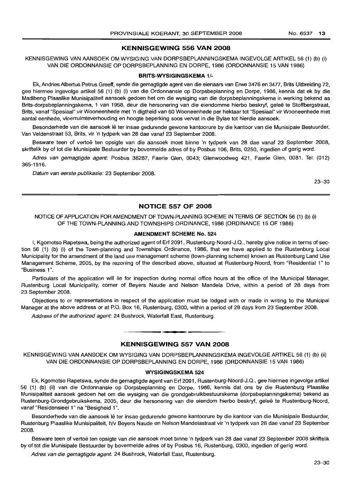### **KENNISGEWING 556 VAN 2008**

KENNISGEWING VAN AANSOEK OM WYSIGING VAN DORPSBEPLANNINGSKEMA INGEVOLGE ARTIKEL 56 (1) (b) (i) VAN DIE ORDONNANSIE OP DORPSBEPLANNING EN DORPE, 1986 (ORDONNANSIE 15 VAN 1986)

### **BRITS-WYSIGINGSKEMA** 1/-

Ek, Andries Albertus Petrus Greeff, synde die gemagtigde agent van die eienaars van Erwe 3476 en 3477, Brits Uitbreiding 72, gee hiermee ingevolge artikel 56 (1) (b) (i) van die Ordonnansie op Dorpsbeplanning en Dorpe, 1986, kennis dat ek by die Madibeng Plaaslike Munisipaliteit aansoek gedoen het om die wysiging van die dorpsbeplanningskema in werking bekend as Brits-dorpsbeplanningskema, 1 van 1958, deur die hersonering van die eiendomme hierbo beskryf, geleë te Stoffbergstraat, Brits, vanaf "Spesiaal" vir Wooneenhede met 'n digtheid van 60 Wooneenhede per hektaar tot "Spesiaal" vir Wooneenhede met aantal eenhede, vloerruimteverhouding en hoogte beperking soos vervat in die Bylae tot hierdie aansoek.

Besonderhede van die aansoek lê ter insae gedurende gewone kantoorure by die kantoor van die Munisipale Bestuurder, Van Veldenstraat 53, Brits, vir 'n tydperk van 28 dae vanaf 23 September 2008.

Besware teen of vertoë ten opsigte van die aansoek moet binne 'n tydperk van 28 dae vanaf 23 September 2008, skriftelik by of tot die Munisipale Bestuurder by bovermelde adres of by Posbus 106, Brits, 0250, ingedien of gerig word.

Adres van gemagtigde agent: Posbus 38287, Faerie Glen, 0043; Glenwoodweg 421, Faerie Glen, 0081. Tel: (012) 365-1916.

Datum van eerste publikasie: 23 September 2008.

23-30

### **NOTICE 557 OF 2008**

### NOTICE OF APPLICATION FOR AMENDMENT OF TOWN-PLANNING SCHEME IN TERMS OF SECTION 56 (1) (b) (i) OF THE TOWN-PLANNING AND TOWNSHIPS ORDINANCE, 1986 (ORDINANCE 15 OF 1986)

### **AMENDMENT SCHEME No. 524**

I, Kgomotso Rapetswa, being the authorized agent of Erf 2091, Rustenburg-Noord-J.Q., hereby give notice in terms of section 56 (1) (b) (i) of the Town-planning and Townships Ordinance, 1986, that we have applied to the Rustenburg Local Municipality for the amendment of the land use management scheme (town-planning scheme) known as Rustenburg Land Use Management Scheme, 2005, by the rezoning of the described above, situated at Rustenburg-Noord, from "Residential 1" to "Business 1".

Particulars of the application will lie for inspection during normal office hours at the office of the Municipal Manager, Rustenburg Local Municipality, corner of Beyers Naude and Nelson Mandela Drive, within a period of 28 days from 23 September 2008.

Objections to or representations in respect of the application must be lodged with or made in writing to the Municipal Manager at the above address or at P.O. Box 16, Rustenburg, 0300, within a period of 28 days from 23 September 2008.

Address of the authorized agent: 24 Bushrock, Waterfall East, Rustenburg.

### **KENNISGEWING 557 VAN 2008**

.**- .**

KENNISGEWING VAN MNSOEK OM WYSIGING VAN DORPSBEPLANNINGSKEMA INGEVOLGE ARTIKEL 56 (1) (b) (ii) VAN DIE ORDONNANSIE OP DORPSBEPLANNING EN DORPE, 1986 (ORDONNANSIE 15 VAN 1986)

#### **WYSIGINGSKEMA 524**

Ek, Kgomotso Rapetswa, synde die gemagtigde agent van Erf 2091, Rustenburg-Noord-J.Q., gee hiermee ingevolge artikel 56 (1) (b) (ii) van die Ordonnansie op Dorpsbeplanning en Dorpe, 1986, kennis dat ons by die Rustenburg Plaaslike Munisipaliteit aansoek gedoen het om die wysiging van die grondgebruikbestuurskema (dorpsbeplanningskema) bekend as Rustenburg-Grondgebruikskema, 2005, deur die hersonering van die eiendom hierbo beskryf, gelee te Rustenburg-Noord, vanaf "Residensieel 1" na "Besigheid 1".

Besonderhede van die aansoek lê ter insae gedurende gewone kantoorure by die kantoor van die Munisipale Bestuurder, Rustenburg Plaaslike Munisipaliteit, h/v Beyers Naude en Nelson Mandelastraat vir 'n tydperk van 28 dae vanaf 23 September 2008.

Besware teen of vertoë ten opsigte van die aansoek moet binne 'n tydperk van 28 dae vanaf 23 September 2008 skriftelik by of tot die Munisipale Bestuurder by bovermelde adres of by Posbus 16, Rustenburg, 0300, ingedien of gerig word.

Adres van die gemagtigde agent: 24 Bushrock, Waterfall East, Rustenburg.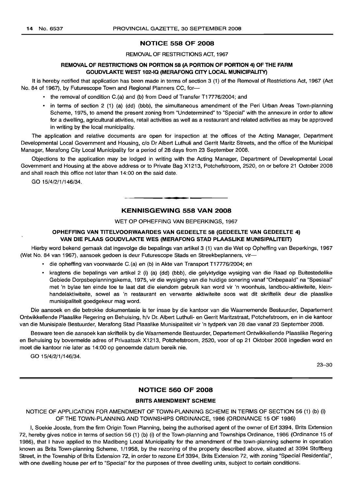### **NOTICE 558 OF 2008**

### REMOVALOF RESTRICTIONSACT, 1967

### **REMOVAL OF RESTRICTIONS ON PORTION 58 (A PORTION OF PORTION 4) OF THE FARM GOUDVLAKTE WEST 102-10 (MERAFONG CITY LOCAL MUNICIPALITY)**

It is hereby notified that application has been made in terms of section 3 (1) of the Removal of Restrictions Act, 1967 (Act No. 84 of 1967), by Futurescope Town and Regional Planners CC, for-

- $\cdot$  the removal of condition C.(a) and (b) from Deed of Transfer T17776/2004; and
- in terms of section 2 (1) (a) (dd) (bbb), the simultaneous amendment of the Peri Urban Areas Town-planning Scheme, 1975, to amend the present zoning from "Undetermined" to "Special" with the annexure in order to allow for a dwelling, agricultural ativities, retail activities as well as a restaurant and related activities as may be approved in writing by the local municipality.

The application and relative documents are open for inspection at the offices of the Acting Manager, Department Developmental Local Government and Housing, c/o Dr Albert Luthuli and Gerrit Maritz Streets, and the office of the Municipal Manager, Merafong City Local Municipality for a period of 28 days from 23 September 2008.

Objections to the application may be lodged in writing with the Acting Manager, Department of Developmental Local Government and Housing at the above address or to Private Bag X1213, Potchefstroom, 2520, on or before 21 October 2008 and shall reach this office not later than 14:00 on the said date.

GO 15/4/2/1/146/34.

### **KENNISGEWING 558 VAN 2008**

**•**

WET OP OPHEFFING VAN BEPERKINGS, 1967

### **OPHEFFING VAN TITELVOORWAARDES VAN GEDEELTE 58 (GEDEELTE VAN GEDEELTE 4) VAN DIE PLAAS GOUDVLAKTE WES (MERAFONG STAD PLAASLIKE MUNISIPALITEIT)**

Hierby word bekend gemaak dat ingevolge die bepalings van artikel 3 (1) van die Wet op Opheffing van Beperkings, 1967 (Wet No. 84 van 1967), aansoek gedoen is deur Futurescope Stads en Streekbeplanners, vir-

- die opheffing van voorwaarde C.(a) en (b) in Akte van Transport T17776/2004; en
- kragtens die bepalings van artikel 2 (i) (a) (dd) (bbb), die gelyktydige wysiging van die Raad op Buitestedelike Gebiede Dorpsbeplanningskema, 1975, vir die wysiging van die huidige sonering vanaf "Onbepaald" na "Spesiaal" met 'n bylae ten einde toe te laat dat die eiendom gebruik kan word vir 'n woonhuis, landbou-aktiwiteite, kleinhandelaktiwiteite, sowel as 'n restaurant en verwante aktiwiteite soos wat dit skriftelik deur die plaaslike munisipaliteit goedgekeur mag word.

Die aansoek en die betrokke dokumentasie is ter insae by die kantoor van die Waarnemende Bestuurder, Departement Ontwikkellende Plaaslike Regering en Behuising, h/v Dr. Albert Luthuli- en Gerrit Maritzstraat, Potchefstroom, en in die kantoor van die Munisipale Bestuurder, Merafong Stad Plaaslike Munisipaliteit vir 'n tydperk van 28 dae vanaf 23 September 2008.

Besware teen die aansoek kan skriftelik by die Waarnemende Bestuurder, Departement Ontwikkellende Plaaslike Regering en Behuising by bovermelde adres of Privaatsak X1213, Potchefstroom, 2520, voor of op 21 Oktober 2008 ingedien word en moet die kantoor nie later as 14:00 op genoemde datum bereik nie.

GO 15/4/2/1/146/34.

23-30

### **NOTICE 560 OF 2008**

### **BRITS AMENDMENT SCHEME**

NOTICE OF APPLICATION FOR AMENDMENT OF TOWN-PLANNING SCHEME IN TERMS OF SECTION 56 (1) (b) (i) OF THE TOWN-PLANNING AND TOWNSHIPS ORDINANCE, 1986 (ORDINANCE 15 OF 1986)

I, Soekie Jooste, from the firm Origin Town Planning, being the authorised agent of the owner of Erf 3394, Brits Extension 72, hereby gives notice in terms of section 56 (1) (b) (i) of the Town-planning and Townships Ordinance, 1986 (Ordinance 15 of 1986), that I have applied to the Madibeng Local Municipality for the amendment of the town-planning scheme in operation known as Brits Town-planning Scheme, 1/1958, by the rezoning of the property described above, situated at 3394 Stoffberg Street, in the Township of Brits Extension 72, in order to rezone Erf 3394, Brits Extension 72, with zoning "Special Residential", with one dwelling house per erf to "Special" for the purposes of three dwelling units, subject to certain conditions.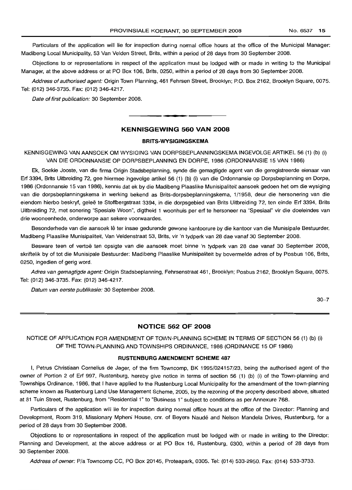Particulars of the application will lie for inspection during normal office hours at the office of the Municipal Manager: Madibeng Local Municipality, 53 Van Velden Street, Brits, within a period of 28 days from 30 September 2008.

Objections to or representations in respect of the application must be lodged with or made in writing to the Municipal Manager, at the above address or at PO Box 106, Brits, 0250, within a period of 28 days from 30 September 2008.

Address of authorised agent: Origin Town Planning, 461 Fehrsen Street, Brooklyn; P.O. Box 2162, Brooklyn Square, 0075. Tel: (012) 346-3735. Fax: (012) 346-4217.

Date of first publication: 30 September 2008.

### **KENNISGEWING 560 VAN 2008**

**•**

#### **BRITS·WYSIGINGSKEMA**

KENNISGEWING VAN AANSOEK OM WYSIGING VAN DORPSBEPLANNINGSKEMA INGEVOLGE ARTIKEL 56 (1) (b) (i) VAN DIE ORDONNANSIE OP DORPSBEPLANNING EN DORPE, 1986 (ORDONNANSIE 15 VAN 1986)

Ek, Soekie Jooste, van die firma Origin Stadsbeplanning, synde die gemagtigde agent van die geregistreerde eienaar van Erf 3394, Brits Uitbreiding 72, gee hiermee ingevolge artikel 56 (1) (b) (i) van die Ordonnansie op Dorpsbeplanning en Dorpe, 1986 (Ordonnansie 15 van 1986), kennis dat ek by die Madibeng Plaaslike Munisipaliteit aansoek gedoen het om die wysiging van die dorpsbeplanningskema in werking bekend as Brits-dorpsbeplanningskema, 1/1958, deur die hersonering van die eiendom hierbo beskryf, geleë te Stoffbergstraat 3394, in die dorpsgebied van Brits Uitbreiding 72, ten einde Erf 3394, Brits Uitbreiding 72, met sonering "Spesiale Woon", digtheid 1 woonhuis per erf te hersoneer na "Spesiaal" vir die doeleindes van drie wooneenhede, onderworpe aan sekere voorwaardes.

Besonderhede van die aansoek lê ter insae gedurende gewone kantoorure by die kantoor van die Munisipale Bestuurder, Madibeng Plaaslike Munisipaliteit, Van Veldenstraat 53, Brits, vir 'n tydperk van 28 dae vanaf 30 September 2008.

Besware teen of vertoe ten opsigte van die aansoek moet binne 'n tydperk van 28 dae vanaf 30 September 2008, skriftelik by of tot die Munisipale Bestuurder: Madibeng Plaaslike Munisipaliteit by bovermelde adres of by Posbus 106, Brits, 0250, ingedien of gerig word.

Adres van gemagtigde agent: Origin Stadsbeplanning, Fehrsenstraat 461, Brooklyn; Posbus 2162, Brooklyn Square, 0075. Tel: (012) 346-3735. Fax: (012) 346-4217.

Datum van eerste publikasie: 30 September 2008.

30-7

### **NOTICE 562 OF 2008**

NOTICE OF APPLICATION FOR AMENDMENT OF TOWN-PLANNING SCHEME IN TERMS OF SECTION 56 (1) (b) (i) OF THE TOWN-PLANNING AND TOWNSHIPS ORDINANCE, 1986 (ORDINANCE 15 OF 1986)

### **RUSTENBURG AMENDMENT SCHEME 487**

I, Petrus Christiaan Cornelius de Jager, of the firm Towncomp, BK 1995/024157/23, being the authorised agent of the owner of Portion 2 of Erf 997, Rustenburg, hereby give notice in terms of section 56 (1) (b) (i) of the Town-planning and Townships Ordinance, 1986, that I have applied to the Rustenburg Local Municipality for the amendment of the town-planning scheme known as Rustenburg Land Use Management Scheme, 2005, by the rezoning of the property described above, situated at 81 Tuin Street, Rustenburg, from "Residential 1" to "Business 1" subject to conditions as per Annexure 768.

Particulars of the application will lie for inspection during normal office hours at the office of the Director: Planning and Development, Room 319, Missionary Mpheni House, cnr. of Beyers Naude and Nelson Mandela Drives, Rustenburg, for a period of 28 days from 30 September 2008.

Objections to or representations in respect of the application must be lodged with or made in writing to the Director: Planning and Development, at the above address or at PO Box 16, Rustenburg, 0300, within a period of 28 days from 30 September 2008.

Address of owner: P/a Towncomp CC, PO Box 20145, Proteapark, 0305. Tel: (014) 533-2950. Fax: (014) 533-3733.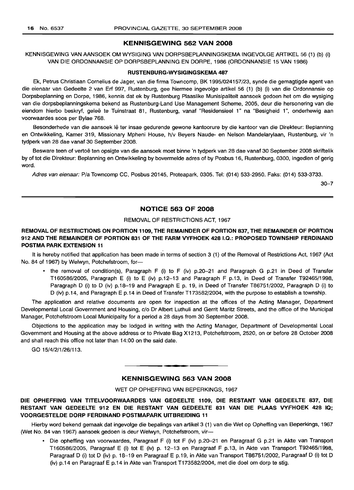### KENNISGEWING 562 VAN 2008

KENNISGEWING VAN AANSOEK OM WYSIGING VAN DORPSBEPLANNINGSKEMA INGEVOLGE ARTIKEL 56 (1) (b) (i) VAN DIE ORDONNANSIE OP DORPSBEPLANNING EN DORPE, 1986 (ORDONNANSIE 15 VAN 1986)

#### RUSTENBURG-WYSIGINGSKEMA 487

Ek, Petrus Christiaan Cornelius de Jager, van die firma Towncomp, BK 1995/024157/23, synde die gemagtigde agent van die eienaar van Gedeelte 2 van Erf 997, Rustenburg, gee hiermee ingevolge artikel 56 (1) (b) (i) van die Ordonnansie op Dorpsbeplanning en Dorpe, 1986, kennis dat ek by Rustenburg Plaaslike Munisipaliteit aansoek gedoen het om die wysiging van die dorpsbeplanningskema bekend as Rustenburg-Land Use Management Scheme, 2005, deur die hersonering van die eiendom hierbo beskryf, gelee te Tuinstraat 81, Rustenburg, vanaf "Residensieel 1" na "Besigheid 1", onderhewig aan voorwaardes soos per Bylae 768.

Besonderhede van die aansoek Ie ter insae gedurende gewone kantoorure by die kantoor van die Direkteur: Beplanning en Ontwikkeling, Kamer 319, Missionary Mpheni House, h/v Beyers Naude- en Nelson Mandelarylaan, Rustenburg, vir 'n tydperk van 28 dae vanaf 30 September 2008.

Besware teen of vertoë ten opsigte van die aansoek moet binne 'n tydperk van 28 dae vanaf 30 September 2008 skriftelik by of tot die Direkteur: Beplanning en Ontwikkeling by bovermelde adres of by Posbus 16, Rustenburg, 0300, ingedien of gerig word.

Adres van eienaar: Pia Towncomp CC, Posbus 20145, Proteapark, 0305. Tel: (014) 533-2950. Faks: (014) 533-3733.

30-7

### NOTICE 563 OF 2008

#### REMOVAL OF RESTRICTIONS ACT, 1967

### REMOVAL OF RESTRICTIONS ON PORTION 1109, THE REMAINDER OF PORTION 837, THE REMAINDER OF PORTION 912 AND THE REMAINDER OF PORTION 831 OF THE FARM VYFHOEK 428 I.Q.: PROPOSED TOWNSHIP FERDINAND POSTMA PARK EXTENSION 11

It is hereby notified that application has been made in terms of section 3 (1) of the Removal of Restrictions Act, 1967 (Act No. 84 of 1967) by Welwyn, Potchefstroom, for-

 $\cdot$  the removal of condition(s), Paragraph F (i) to F (iv) p.20-21 and Paragraph G p.21 in Deed of Transfer T160586/2005, Paragraph E (i) to E (iv) p.12-13 and Paragraph F p.13, in Deed of Transfer T92465/1998, Paragraph D (i) to D (iv) p.18-19 and Paragraph E p. 19, in Deed of Transfer T86751/2002, Paragraph D (i) to D (iv) p.14, and Paragraph E p.14 in Deed of Transfer T173582/2004, with the purpose to establish a township.

The application and relative documents are open for inspection at the offices of the Acting Manager, Department Developmental Local Government and Housing, c/o Dr Albert Luthuli and Gerrit Maritz Streets, and the office of the Municipal Manager, Potchefstroom Local Municipality for a period a 28 days from 30 September 2008.

Objections to the application may be lodged in writing with the Acting Manager, Department of Developmental Local Government and Housing at the above address or to Private Bag X1213, Potchefstroom, 2520, on or before 28 October 2008 and shall reach this office not later than 14:00 on the said date.

GO 15/4/2/1/26/113.

### KENNISGEWING 563 VAN 2008

.**- .**

WET OP OPHEFFING VAN BEPERKINGS, 1967

DIE OPHEFFING VAN TITELVOORWAARDES VAN GEDEELTE 1109, DIE RESTANT VAN GEDEELTE 837, DIE RESTANT VAN GEDEELTE 912 EN DIE RESTANT VAN GEDEELTE 831 VAN DIE PLAAS VYFHOEK 428 IQ; VOORGESTELDE DORP FERDINAND POSTMAPARK UITBREIDING 11

Hierby word bekend gemaak dat ingevolge die bepalings van artikel 3 (1) van die Wet op Opheffing van Beperkings, 1967 (Wet No. 84 van 1967) aansoek gedoen is deur Welwyn, Potchefstroom, vir-

Die opheffing van voorwaardes, Paragraaf F (i) tot F (iv) p.20–21 en Paragraaf G p.21 in Akte van Transport T160586/2005, Paragraaf E (i) tot E (iv) p. 12-13 en Paragraaf F p.13, in Akte van Transport T92465/1998, Paragraaf D (i) tot 0 (iv) p. 18-19 en Paragraaf E p.19, in Akte van Transport T86751/2002, Paragraaf D (i) tot D (iv) p.14 en Paragraaf E p.14 in Akte van Transport T173582/2004, met die doel om dorp te stig.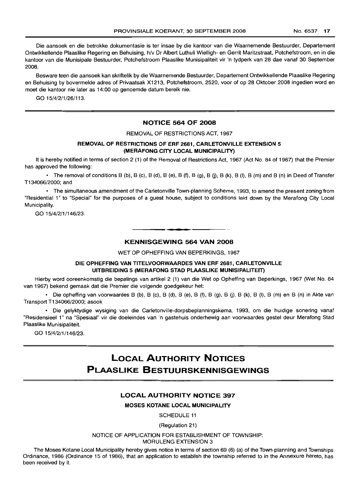Die aansoek en die betrokke dokumentasie is ter insae by die kantoor van die Waarnemende Bestuurder, Departement Ontwikkellende Plaaslike Regering en Behuising, h/v Dr Albert Luthuli Wielligh- en Gerrit Maritzstraat, Potchefstroom, en in die kantoor van die Munisipale Bestuurder, Potchefstroom Plaaslike Munisipaliteit vir 'n tydperk van 28 dae vanaf 30 September 2008.

Besware teen die aansoek kan skriftelik by die Waarnemende Bestuurder, Departement Ontwikkellende Plaaslike Regering en Behuising by bovermelde adres of Privaatsak X1213, Potchefstroom, 2520, voor of op 28 Oktober 2008 ingedien word en moet die kantoor nie later as 14:00 op genoemde datum bereik nie.

GO 15/4/2/1/26/113.

### **NOTICE 564 OF 2008**

REMOVAL OF RESTRICTIONS ACT, 1967

### **REMOVAL OF RESTRICTIONS OF ERF 2681, CARLETONVILLE EXTENSION** 5 **(MERAFONG CITY LOCAL MUNICIPALITY)**

It is hereby notified in terms of section 2 (1) of the Removal of Restrictions Act, 1967 (Act No. 84 of 1967) that the Premier has approved the following:

• The removal of conditions B (b), B (c), B (d), B (e), B (f), B (g), B (j), B (k), B (l), B (m) and B (n) in Deed of Transfer T134066/2000; and

• The simultaneous amendment of the Carletonville Town-planning Scheme, 1993, to amend the present zoning from "Residential 1" to "Special" for the purposes of a guest house, subject to conditions laid down by the Merafong City Local Municipality.

GO 15/4/2/1/146/23.

### **KENNISGEWING 564 VAN 2008**

**•**

WET OP OPHEFFING VAN BEPERKINGS, 1967

### **DIE OPHEFFING VAN TITELVOORWAARDES VAN ERF 2681, CARLETONVILLE UITBREIDING 5 (MERAFONG STAD PLAASLIKE MUNISIPALITEIT)**

Hierby word ooreenkomstig die bepalings van artikel 2 (1) van die Wet op Opheffing van Beperkings, 1967 (Wet No. 84 van 1967) bekend gemaak dat die Premier die volgende goedgekeur het:

• Die opheffing van voorwaardes B (b), B (c), B (d), B (e), B (t), B (g), B 0), B (k). B (I), B (m) en B (n) in Akte van Transport T134066/2000; asook

• Die gelyktydige wysiging van die Carletonville-dorpsbeplanningskema, 1993, am die huidige sonering vanaf "Residensieel 1" na "Spesiaal" vir die doeleindes van 'n gastehuis onderhewig aan voorwaardes gestel deur Merafong Stad Plaaslike Munisipaliteit.

GO 15/4/2/1/146/23.

# **LOCAL AUTHORITY NOTICES PLAASLIKE BESTUURSKENNISGEWINGS**

### **LOCAL AUTHORITY NOTICE 397**

**MOSES KOTANE LOCAL MUNICIPALITY**

SCHEDULE 11

(Regulation 21)

NOTICE OF APPLICATION FOR ESTABLISHMENT OF TOWNSHIP: MORULENG EXTENSION 3

The Moses Kotane Local Municipality hereby gives notice in terms of section 69 (6) (a) of the Town-planning and Townships Ordinance, 1986 (Ordinance 15 of 1986), that an application to establish the township referred to in the Annexure hereto, has been received by it.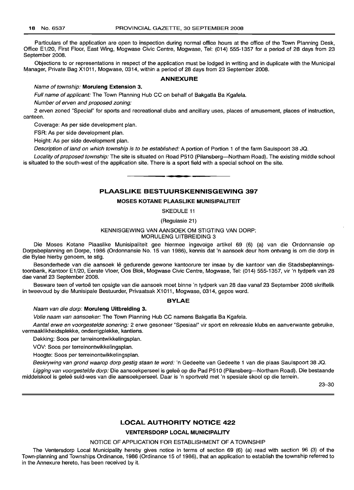Particulars of the application are open to inspection during normal office hours at the office of the Town Planning Desk, Office E1/20, First Floor, East Wing, Mogwase Civic Centre, Mogwase, Tel: (014) 555-1357 for a period of 28 days from 23 September 2008.

Objections to or representations in respect of the application must be lodged in writing and in duplicate with the Municipal Manager, Private Bag X1011, Mogwase, 0314, within a period of 28 days from 23 September 2008.

#### **ANNEXURE**

#### Name of township: **Moruleng Extension 3.**

Full name of applicant: The Town Planning Hub CC on behalf of Bakgatla Ba Kgafela.

Number of erven and proposed zoning:

2 erven zoned "Special" for sports and recreational clubs and ancillary uses, places of amusement, places of instruction, canteen.

Coverage: As per side development plan.

FSR: As per side development plan.

Height: As per side development plan.

Description of land on which township is to be established: A portion of Portion 1 of the farm Saulspoort 38 JQ.

Locality of proposed township: The site is situated on Road P510 (Pilansberg-Northam Road). The existing middle school is situated to the south-west of the application site. There is a sport field with a special school on the site. .**-.**

**PLAASLIKE BESTUURSKENNISGEWING 397**

### **MOSES KOTANE PLAASLIKE MUNISIPALITEIT**

SKEDULE 11

(Regulasie 21)

KENNISGEWING VAN AANSOEK OM STIGTING VAN DORP: MORULENG UITBREIDING 3

Die Moses Kotane Plaaslike Munisipaliteit gee hiermee ingevolge artikel 69 (6) (a) van die Ordonnansie op Dorpsbeplanning en Dorpe, 1986 (Ordonnansie No. 15 van 1986), kennis dat 'n aansoek deur hom ontvang is om die dorp in die Bylae hierby genoem, te stig.

Besonderhede van die aansoek lê gedurende gewone kantoorure ter insae by die kantoor van die Stadsbeplanningstoonbank, Kantoor E1/20, Eerste Vloer, Oos Blok, Mogwase Civic Centre, Mogwase, Tel: (014) 555-1357, vir 'n tydperk van 28 dae vanaf 23 September 2008.

Besware teen of vertoe ten opsigte van die aansoek moet binne 'n tydperk van 28 dae vanaf 23 September 2008 skriftelik in tweevoud by die Munisipale Bestuurder, Privaatsak X1011, Mogwase, 0314, gepos word.

### **BYLAE**

Naam van die dorp: **Moruleng Uitbreiding 3.**

Volle naam van aansoeker: The Town Planning Hub CC namens Bakgatla Ba Kgafela.

Aantal erwe en voorgestelde sonering: 2 erwe gesoneer "Spesiaal" vir sport en rekreasie klubs en aanverwante gebruike, vermaaklikheidsplekke, onderrigplekke, kantiens.

Dekking: Soos per terreinontwikkelingsplan.

VOV: Soos per terreinontwikkelingsplan.

Hoogte: Soos per terreinontwikkelingsplan.

Beskrywing van grond waarop dorp gestig staan te word: 'n Gedeelte van Gedeelte 1 van die plaas Saulspoort 38 JQ.

Ligging van voorgestelde dorp: Die aansoekperseel is geleë op die Pad P510 (Pilansberg-Northam Road). Die bestaande middelskool is gelee suid-wes van die aansoekperseel. Daar is 'n sportveld met 'n spesiale skool op die terrein.

23-30

### **LOCAL AUTHORITY NOTICE 422**

# **VENTERSDORP LOCAL MUNICIPALITY**

### NOTICE OF APPLICATION FOR ESTABLISHMENT OF A TOWNSHIP

The Ventersdorp Local Municipality hereby gives notice in terms of section 69 (6) (a) read with section 96 (3) of the Town-planning and Townships Ordinance, 1986 (Ordinance 15 of 1986), that an application to establish the township referred to in the Annexure hereto, has been received by it.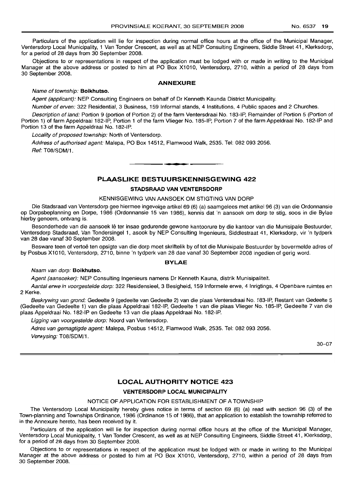Particulars of the application will lie for inspection during normal office hours at the office of the Municipal Manager, Ventersdorp Local Municipality, 1 Van Tonder Crescent, as well as at NEP Consulting Engineers, Siddle Street 41, Klerksdorp, for a period of 28 days from 30 September 2008.

Objections to or representations in respect of the application must be lodged with or made in writing to the Municipal Manager at the above address or posted to him at PO Box X1010, Ventersdorp, 2710, within a period of 28 days from 30 September 2008.

#### **ANNEXURE**

### Name of township: **Boikhutso.**

Agent (applicant): NEP Consulting Engineers on behalf of Dr Kenneth Kaunda District Municipality.

Number of erven: 322 Residential, 3 Business, 159 Informal stands, 4 Institutions, 4 Public spaces and 2 Churches.

Description of land: Portion 9 (portion of Portion 2) of the farm Ventersdraai No. 183-IP, Remainder of Portion 5 (Portion of Portion 1) of farm Appeldraai 182-IP, Portion 1 of the farm Vlieger No. 185-IP, Portion 7 of the farm Appeldraai No. 182-IP and Portion 13 of the farm Appeldraai No. 182-1P.

Locality of proposed township: North of Ventersdorp.

Address of authorised agent: Malepa, PO Box 14512, Flamwood Walk, 2535. Tel: 082 093 2056. Ref: T08/SDM/1.

# **PLAASLIKE BESTUURSKENNISGEWING 422**

**•**

### **STADSRAAD** VAN **VENTERSDORP**

### KENNISGEWING VAN AANSOEK OM STIGTING VAN DORP

Die Stadsraad van Ventersdorp gee hiermee ingevolge artikel 69 (6) (a) saamgelees met artikel 96 (3) van die Ordonnansie op Dorpsbeplanning en Dorpe, 1986 (Ordonnansie 15 van 1986), kennis dat 'n aansoek om dorp te stig, soos in die Bylae hierby genoem, ontvang is.

Besonderhede van die aansoek lê ter insae gedurende gewone kantoorure by die kantoor van die Munisipale Bestuurder, Ventersdorp Stadsraad, Van Tondersingel 1, asook by NEP Consulting Ingenieurs, Siddlestraat 41, Klerksdorp, vir 'n tydperk van 28 dae vanaf 30 September 2008.

Besware teen of vertoë ten opsigte van die dorp moet skriftelik by of tot die Munisipale Bestuurder by bovermelde adres of by Posbus X1010, Ventersdorp, 2710, binne 'n tydperk van 28 dae vanaf 30 September 2008 ingedien of gerig word.

### **BYLAE**

#### Naam van dorp: **Boikhutso.**

Agent (aansoeker): NEP Consulting Ingenieurs namens Dr Kenneth Kauna, distrik Munisipaliteit.

Aantal erwe in voorgestelde dorp: 322 Residensieel, 3 Besigheid, 159 Informele erwe, 4 Inrigtings, 4 Openbare ruimtes en 2 Kerke.

Beskrywing van grond: Gedeelte 9 (gedeelte van Gedeelte 2) van die plaas Ventersdraai No. 183-IP, Restant van Gedeelte 5 (Gedeelte van Gedeelte 1) van die plaas Appeldraai 182-IP, Gedeelte 1 van die plaas Vlieger No. 185-IP, Gedeelte 7 van die plaas Appeldraai No. 182-IP en Gedeelte 13 van die plaas Appeldraai No. 182-IP.

Ligging van voorgestelde dorp: Noord van Ventersdorp.

Adres van gemagtigde agent: Malepa, Posbus 14512, Flamwood Walk, 2535. Tel: 082 093 2056. Verwysing: T08/SDM/1.

3D-07

### **LOCAL AUTHORITY NOTICE 423**

### **VENTERSDORP LOCAL MUNICIPALITY**

### NOTICE OF APPLICATION FOR ESTABLISHMENT OF A TOWNSHIP

The Ventersdorp Local Municipality hereby gives notice in terms of section 69 (6) (a) read with section 96 (3) of the Town-planning and Townships Ordinance, 1986 (Ordinance 15 of 1986), that an application to establish the township referred to in the Annexure hereto, has been received by it.

Particulars of the application will lie for inspection during normal office hours at the office of the Municipal Manager, Ventersdorp Local Municipality, 1 Van Tonder Crescent, as well as at NEP Consulting Engineers, Siddle Street 41, Klerksdorp, for a period of 28 days from 30 September 2008.

Objections to or representations in respect of the application must be lodged with or made in writing to the Municipal Manager at the above address or posted to him at PO Box X1010, Ventersdorp, 2710, within a period of 28 days from 30 September 2008.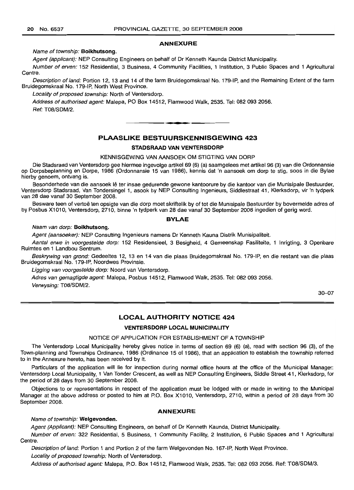### **ANNEXURE**

### Name of township: **Boikhutsong.**

Agent (applicant): NEP Consulting Engineers on behalf of Dr Kenneth Kaunda District Municipality.

Number of erven: 152 Residential, 3 Business, 4 Community Facilities, 1 Institution, 3 Public Spaces and 1 Agricultural Centre.

Description of land: Portion 12, 13 and 14 of the farm Bruidegomskraal No. 179-1P, and the Remaining Extent of the farm Bruidegomskraal No. 179-IP, North West Province.

Locality of proposed township: North of Ventersdorp.

Address of authorised agent: Malepa, PO Box 14512, Flamwood Walk, 2535. Tel: 082 093 2056. Ref: T08/SDM/2.

### **PLAASLIKE BESTUURSKENNISGEWING 423**

• **••**

### **STADSRAAD VAN VENTERSDORP**

#### KENNISGEWING VAN AANSOEK OM STIGTING VAN DORP

Die Stadsraad van Ventersdorp gee hiermee ingevolge artikel 69 (6) (a) saamgelees met artikel 96 (3) van die Ordonnansie op Dorpsbeplanning en Dorpe, 1986 (Ordonnansie 15 van 1986), kennis dat 'n aansoek om dorp te stig, soos in die Bylae hierby genoem, ontvang is.

Besonderhede van die aansoek lê ter insae gedurende gewone kantoorure by die kantoor van die Munisipale Bestuurder, Ventersdorp Stadsraad, Van Tondersingel 1, asook by NEP Consulting Ingenieurs, Siddlestraat 41, Klerksdorp, vir 'n tydperk van 28 dae vanaf 30 September 2008.

Besware teen of vertoë ten opsigte van die dorp moet skriftelik by of tot die Munisipale Bestuurder by bovermelde adres of by Posbus X1010, Ventersdorp, 2710, binne 'n tydperk van 28 dae vanaf 30 September 2008 ingedien of gerig word.

#### **BYLAE**

#### Naam van dorp: **Boikhutsong.**

Agent (aansoeker): NEP Consulting Ingenieurs namens Dr Kenneth Kauna Distrik Munisipaliteit.

Aantal erwe in voorgestelde dorp: 152 Residensieel, 3 Besigheid, 4 Gemeenskap Fasiliteite, 1 Inrigting, 3 Openbare Ruimtes en 1 Landbou Sentrum.

Beskrywing van grond: Gedeeltes 12, 13 en 14 van die plaas Bruidegomskraal No. 179-IP, en die restant van die plaas Bruidegomskraal No. 179-IP, Noordwes Provinsie.

Ligging van voorgestelde dorp: Noord van Ventersdorp.

Adres van gemagtigde agent: Malepa, Posbus 14512, Flamwood Walk, 2535. Tel: 082 093 2056. Verwysing: T08/SDM/2.

3D-07

### **LOCAL AUTHORITY NOTICE 424**

### **VENTERSDORP LOCAL MUNICIPALITY**

#### NOTICE OF APPLICATION FOR ESTABLISHMENT OF A TOWNSHIP

The Ventersdorp Local Municipality hereby gives notice in terms of section 69 (6) (a), read with section 96 (3), of the Town-planning and Townships Ordinance, 1986 (Ordinance 15 of 1986), that an application to establish the township referred to in the Annexure hereto, has been received by it.

Particulars of the application will lie for inspection during normal office hours at the office of the Municipal Manager: Ventersdorp Local Municipality, 1 Van Tonder Crescent, as well as NEP Consulting Engineers, Siddle Street 41, Klerksdorp, for the period of 28 days from 30 September 2008.

Objections to or representations in respect of the application must be lodged with or made in writing to the Municipal Manager at the above address or posted to him at P.O. Box X1010, Ventersdorp, 2710, within a period of 28 days from 30 September 2008.

#### **ANNEXURE**

#### Name of township: **Welgevonden.**

Agent (Applicant): NEP Consulting Engineers, on behalf of Dr Kenneth Kaunda, District Municipality.

Number of erven: 322 Residential, 5 Business, 1 Community Facility, 2 Institution, 6 Public Spaces and 1 Agricultural Centre.

Description of land: Portion 1 and Portion 2 of the farm Welgevonden No. 167-IP, North West Province. Locality of proposed township: North of Ventersdorp.

Address of authorised agent: Malepa, P.O. Box 14512, Flamwood Walk, 2535. Tel: 082 093 2056. Ref: T08/SDM/3.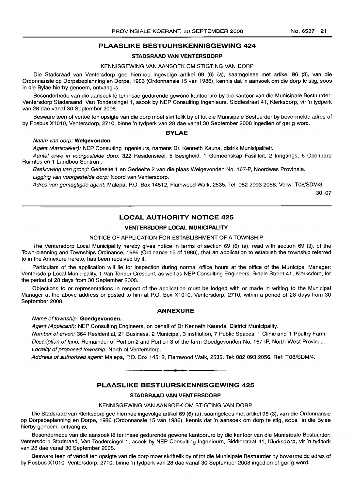### **PLAASLIKE BESTUURSKENNISGEWING 424**

### **STADSRAAD VAN VENTERSDORP**

### KENNISGEWING VAN AANSOEK OM STIGTING VAN DORP

Die Stadsraad van Ventersdorp gee hiermee ingevolge artikel 69 (6) (a), saamgelees met artikel 96 (3), van die Ordonnansie op Dorpsbeplanning en Dorpe, 1986 (Ordonnansie 15 van 1986), kennis dat 'n aansoek om die dorp te stig, soos in die Bylae hierby genoem, ontvang is.

Besonderhede van die aansoek lê ter insae gedurende gewone kantoorure by die kantoor van die Munisipale Bestuurder: Ventersdorp Stadsraand, Van Tondersingel 1, asook by NEP Consulting Ingenieurs, Siddlestraat 41, Klerksdorp, vir 'n tydperk van 28 dae vanaf 30 September 2008.

Besware teen of vertoë ten opsigte van die dorp moet skriftelik by of tot die Munisipale Bestuurder by bovermelde adres of by Posbus X1010, Ventersdorp, 2710, binne 'n tydperk van 28 dae vanaf 30 September 2008 ingedien of gerig word.

### **BYLAE**

Naam van dorp: **Welgevonden.**

Agent (Aansoeker): NEP Consulting Ingenieurs, namens Dr. Kenneth Kauna, distrik Munisipaliteit.

Aantal erwe in voorgestelde dorp: 322 Residensieel, 5 Besigheid, 1 Gemeenskap Fasiliteit, 2 Inrigtings, 6 Openbare Ruimtes en 1 Landbou Sentrum.

Beskrywing van grond: Gedeelte 1 en Gedeelte 2 van die plaas Welgevonden No. 167-P, Noordwes Provinsie. Ligging van voorgestelde dorp: Noord van Ventersdorp.

Adres van gemagtigde agent: Malepa, P.O. Box 14512, Flamwood Walk, 2535. Tel: 082 2093 2056. Verw: T08/SDM/3.

*3D-07*

# **LOCAL AUTHORITY NOTICE 425**

### **VENTERSDORP LOCAL MUNICIPALITY**

### NOTICE OF APPLICATION FOR ESTABLISHMENT OF A TOWNSHIP

The Ventersdorp Local Municipality hereby gives notice in terms of section 69 (6) (a), read with section 69 (3), of the Town-planning and Townships Ordinance, 1986 (Ordinance 15 of 1986), that an application to establish the township referred to in the Annexure hereto, has been received by it.

Particulars of the application will lie for inspection during normal office hours at the office of the Municipal Manager: Ventersdorp Local Municipality, 1 Van Tonder Crescent, as well as NEP Consulting Engineers, Siddle Street 41, Klerksdorp, for the period of 28 days from 30 September 2008.

Objections to or representations in respect of the application must be lodged with or made in writing to the Municipal Manager at the above address or posted to him at P.O. Box X1010, Ventersdorp, 2710, within a period of 28 days from 30 September 2008.

#### **ANNEXURE**

Name of township: **Goedgevonden.**

Agent (Applicant): NEP Consulting Engineers, on behalf of Dr Kenneth Kaunda, District Municipality.

Number of erven: 364 Residential, 21 Business, 2 Municipal, 3 institution, 7 Public Spaces, 1 Clinic and 1 Poultry Farm. Description of land: Remainder of Portion 2 and Portion 3 of the farm Goedgevonden No. 167-IP, North West Province. Locality of proposed township: North of Ventersdorp.

Address of authorised agent: Malepa, P.O. Box 14512, Flamwood Walk, 2535. Tel: 082 093 2056. Ref: T08/SDM/4.

**I •**

### **PLAASLIKE BESTUURSKENNISGEWING 425**

### **STADSRAAD VAN VENTERSDORP**

#### KENNISGEWING VAN AANSOEK OM STIGTING VAN DORP

Die Stadsraad van Klerksdorp gee hiermee ingevolge artikel 69 (6) (a), saamgelees met artikel 96 (3), van die Ordonnansie op Dorpsbeplanning en Dorpe, 1986 (Ordonnansie 15 van 1986), kennis dat 'n aansoek om dorp te stig, soos in die Bylae hierby genoem, ontvang is.

Besonderhede van die aansoek lê ter insae gedurende gewone kantoorure by die kantoor van die Munisipale Bestuurder: Ventersdorp Stadsraad, Van Tondersingel 1, asook by NEP Consulting Ingenieurs, Siddlestraat 41, Klerksdorp, vir 'n tydperk van 28 dae vanaf 30 September 2008.

Besware teen of vertoë ten opsigte van die dorp moet skriftelik by of tot die Munisipale Bestuurder by bovermelde adres of by Posbus X1010, Ventersdorp, 2710, binne 'n tydperk van 28 dae vanaf 30 September 2008 ingedien of gerig word.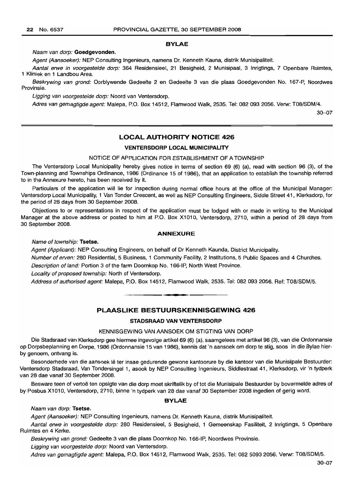### **BYLAE**

### Naam van dorp: Goedgevonden.

Agent (Aansoeker): NEP Consulting Ingenieurs, namens Dr. Kenneth Kauna, distrik Munisipaliteit.

Aantal erwe in voorgestelde dorp: 364 Residensieel, 21 Besigheid, 2 Munisipaal, 3 Inrigtings, 7 Openbare Ruimtes, 1 Kliniek en 1 Landbou Area.

Beskrywing van grond: Oorblywende Gedeelte 2 en Gedeelte 3 van die plaas Goedgevonden No. 167-P, Noordwes Provinsie.

Ligging van voorgestelde dorp: Noord van Ventersdorp.

Adres van gemagtigde agent: Malepa, P.O. Box 14512, Flamwood Walk, 2535. Tel: 082 093 2056. Verw: T08/SDM/4.

30-07

### **LOCAL AUTHORITY NOTICE 426**

### **VENTERSDORP LOCAL MUNICIPALITY**

### NOTICE OF APPLICATION FOR ESTABLISHMENT OF A TOWNSHIP

The Ventersdorp Local Municipality hereby gives notice in terms of section 69 (6) (a), read with section 96 (3), of the Town-planning and Townships Ordinance, 1986 (Ordinance 15 of 1986), that an application to establish the township referred to in the Annexure hereto, has been received by it.

Particulars of the application will lie for inspection during normal office hours at the office of the Municipal Manager: Ventersdorp Local Municipality, 1 Van Tonder Crescent, as well as NEP Consulting Engineers, Siddle Street 41, Klerksdorp, for the period of 28 days from 30 September 2008.

Objections to or representations in respect of the application must be lodged with or made in writing to the Municipal Manager at the above address or posted to him at P.O. Box X1010, Ventersdorp, 2710, within a period of 28 days from 30 September 2008.

### **ANNEXURE**

Name of township: Tsetse.

Agent (Applicant): NEP Consulting Engineers, on behalf of Dr Kenneth Kaunda, District Municipality.

Number of erven: 280 Residential, 5 Business, 1 Community Facility, 2 Institutions, 5 Public Spaces and 4 Churches.

Description of land: Portion 3 of the farm Doornkop No. 166-IP, North West Province.

Locality of proposed township: North of Ventersdorp.

Address of authorised agent: Malepa, P.O. Box 14512, Flamwood Walk, 2535. Tel: 082 093 2056. Ref: T08/SDM/5.

### **PLAASLIKE BESTUURSKENNISGEWING 426**

**• •**

### **STADSRAAD VAN VENTERSDORP**

### KENNISGEWING VAN AANSOEK OM STIGTING VAN DORP

Die Stadsraad van Klerksdorp gee hiermee ingevolge artikel 69 (6) (a), saamgelees met artikel 96 (3), van die Ordonnansie op Dorpsbeplanning en Dorpe, 1986 (Ordonnansie 15 van 1986), kennis dat 'n aansoek om dorp te stig, 5005 in die Bylae hierby genoem, ontvang is.

Besonderhede van die aansoek lê ter insae gedurende gewone kantoorure by die kantoor van die Munisipale Bestuurder: Ventersdorp Stadsraad, Van Tondersingel 1, asook by NEP Consulting Ingenieurs, Siddlestraat 41, Klerksdorp, vir 'n tydperk van 28 dae vanaf 30 September 2008.

Besware teen of vertoë ten opsigte van die dorp moet skriftelik by of tot die Munisipale Bestuurder by bovermelde adres of by Posbus X1010, Ventersdorp, 2710, binne 'n tydperk van 28 dae vanaf 30 September 2008 ingedien of gerig word.

#### **BYLAE**

### Naam van dorp: Tsetse.

Agent (Aansoeker): NEP Consulting Ingenieurs, namens Dr. Kenneth Kauna, distrik Munisipaliteit.

Aantal erwe in voorgestelde dorp: 280 Residensieel, 5 Besigheid, 1 Gemeenskap Fasiliteit, 2 Inrigtings, 5 Openbare Ruimtes en 4 Kerke.

Beskrywing van grond: Gedeelte 3 van die plaas Doornkop No. 166-IP, Noordwes Provinsie.

Ligging van voorgestelde dorp: Noord van Ventersdorp.

Adres van gemagtigde agent: Malepa, P.O. Box 14512, Flamwood Walk, 2535. Tel: 082 5093 2056. Verw: T08/SDM/5.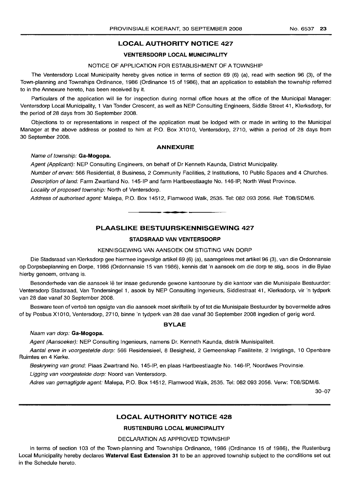### No.6537 **23**

### **LOCAL AUTHORITY NOTICE 427**

### **VENTERSDORP LOCAL MUNICIPALITY**

### NOTICE OF APPLICATION FOR ESTABLISHMENT OF ATOWNSHIP

The Ventersdorp Local Municipality hereby gives notice in terms of section 69 (6) (a), read with section 96 (3), of the Town-planning and Townships Ordinance, 1986 (Ordinance 15 of 1986), that an application to establish the township referred to in the Annexure hereto, has been received by it.

Particulars of the application will lie for inspection during normal office hours at the office of the Municipal Manager: Ventersdorp Local Municipality, 1 Van Tonder Crescent, as well as NEP Consulting Engineers, Siddle Street 41, Klerksdorp, for the period of 28 days from 30 September 2008.

Objections to or representations in respect of the application must be lodged with or made in writing to the Municipal Manager at the above address or posted to him at P.O. Box X1010, Ventersdorp, 2710, within a period of 28 days from 30 September 2008.

### **ANNEXURE**

### Name of township: **Ga-Mogopa.**

Agent (Applicant): NEP Consulting Engineers, on behalf of Or Kenneth Kaunda, District Municipality.

Number of erven: 566 Residential, 8 Business, 2 Community Facilities, 2 Institutions, 10 Public Spaces and 4 Churches.

Description of land: Farm Zwartland No. 145-IP and farm Hartbeestlaagte No. 146-IP, North West Province.

Locality of proposed township: North of Ventersdorp.

Address of authorised agent: Malepa, P.O. Box 14512, Flamwood Walk, 2535. Tel: 082 093 2056. Ref: T08/SDM/6. <sup>L</sup> **••**

# **PLAASLIKE BESTUURSKENNISGEWING 427**

### **STADSRAAD VAN VENTERSDORP**

### KENNISGEWING VAN AANSOEK OM STIGTING VAN DORP

Die Stadsraad van Klerksdorp gee hiermee ingevolge artikel 69 (6) (a), saamgelees met artikel 96 (3), van die Ordonnansie op Dorpsbeplanning en Dorpe, 1986 (Ordonnansie 15 van 1986), kennis dat 'n aansoek om die dorp te stig, soos in die Bylae hierby genoem, ontvang is.

Besonderhede van die aansoek Ie ter insae gedurende gewone kantoorure by die kantoor van die Munisipale Bestuurder: Ventersdorp Stadsraad, Van Tondersingel 1, asook by NEP Consulting Ingenieurs, Siddlestraat 41, Klerksdorp, vir 'n tydperk van 28 dae vanaf 30 September 2008.

Besware teen of vertoë ten opsigte van die aansoek moet skriftelik by of tot die Munisipale Bestuurder by bovermelde adres of by Posbus Xl 010, Ventersdorp, 2710, binne 'n tydperk van 28 dae vanaf 30 September 2008 ingedien of gerig word.

### **BYLAE**

### Naam van dorp: **Ga-Mogopa.**

Agent (Aansoeker): NEP Consulting Ingenieurs, namens Dr. Kenneth Kaunda, distrik Munisipaliteit.

Aantal erwe in voorgestelde dorp: 566 Residensieel, 8 Besigheid, 2 Gemeenskap Fasiliteite, 2 Inrigtings, 10 Openbare Ruimtes en 4 Kerke.

Beskrywing van grond: Plaas Zwartrand No. 145-IP, en plaas Hartbeestlaagte No. 146-IP, Noordwes Provinsie. Ligging van voorgestelde dorp: Noord van Ventersdorp.

Adres van gemagtigde agent: Malepa, P.O. Box 14512, Flamwood Walk, 2535. Tel: 0820932056. Verw: T08/SDM/6.

3G-07

### **LOCAL AUTHORITY NOTICE 428**

### **RUSTENBURG LOCAL MUNICIPALITY**

### DECLARATION AS APPROVED TOWNSHIP

In terms of section 103 of the Town-planning and Townships Ordinance, 1986 (Ordinance 15 of 1986), the Rustenburg Local Municipality hereby declares **Waterval East Extension 31** to be an approved township subject to the conditions set out in the Schedule hereto.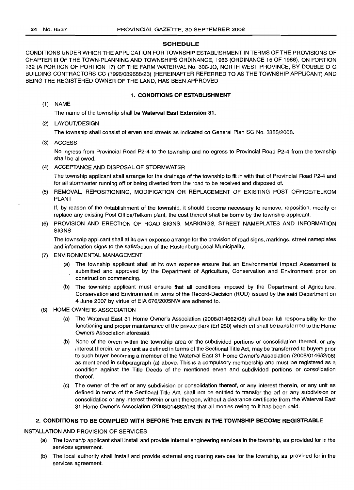### **SCHEDULE**

CONDITIONS UNDER WHICH THE APPLICATION FOR TOWNSHIP ESTABLISHMENT IN TERMS OF THE PROVISIONS OF CHAPTER III OF THE TOWN-PLANNING AND TOWNSHIPS ORDINANCE, 1986 (ORDINANCE 15 OF 1986), ON PORTION 132 (A PORTION OF PORTION 17) OF THE FARM WATERVAL No. 306-JQ, NORTH WEST PROVINCE, BY DOUBLE D G BUILDING CONTRACTORS CC (1996/039688/23) (HEREINAFTER REFERRED TO AS THE TOWNSHIP APPLICANT) AND BEING THE REGISTERED OWNER OF THE LAND, HAS BEEN APPROVED

### 1. **CONDITIONS OF ESTABLISHMENT**

(1) NAME

The name of the township shall be **Waterval East** Extension 31.

(2) LAYOUT/DESIGN

The township shall consist of erven and streets as indicated on General Plan SG No. 3385/2008.

(3) ACCESS

No ingress from Provincial Road P2-4 to the township and no egress to Provincial Road P2-4 from the township shall be allowed.

(4) ACCEPTANCE AND DISPOSAL OF STORMWATER

The township applicant shall arrange for the drainage of the township to fit in with that of Provincial Road P2-4 and for all stormwater running off or being diverted from the road to be received and disposed of.

(5) REMOVAL, REPOSITIONING, MODIFICATION OR REPLACEMENT OF EXISTING POST OFFICE/TELKOM PLANT

If, by reason of the establishment of the township, it should become necessary to remove, reposition, modify or replace any existing Post Office/Telkom plant, the cost thereof shall be borne by the township applicant.

(6) PROVISION AND ERECTION OF ROAD SIGNS, MARKINGS, STREET NAMEPLATES AND INFORMATION **SIGNS** 

The township applicant shall at its own expense arrange for the provision of road signs, markings, street nameplates and information signs to the satisfaction of the Rustenburg Local Municipality.

- (7) ENVIRONMENTAL MANAGEMENT
	- (a) The township applicant shall at its own expense ensure that an Environmental Impact Assessment is submitted and approved by the Department of Agriculture, Conservation and Environment prior on construction commencing.
	- (b) The township applicant must ensure that all conditions imposed by the Department of Agriculture, Conservation and Environment in terms of the Record-Decision (ROD) issued by the said Department on 4 June 2007 by virtue of EIA 676/2005NW are adhered to.
- (8) HOME OWNERS ASSOCIATION
	- (a) The Waterval East 31 Home Owner's Association (2008/014662/08) shall bear full responsibility for the functioning and proper maintenance of the private park (Ert 280) which ert shall be transferred to the Home Owners Association aforesaid.
	- (b) None of the erven within the township area or the subdivided portions or consolidation thereof, or any interest therein, or any unit as defined in terms of the Sectional Title Act, may be transferred to buyers prior to such buyer becoming a member of the Waterval East 31 Home Owner's Association (2008/014662/08) as mentioned in subparagraph (a) above. This is a compulsory membership and must be registered as a condition against the Title Deeds of the mentioned erven and subdivided portions or consolidation thereof.
	- (c) The owner of the ert or any subdivision or consolidation thereof, or any interest therein, or any unit as defined in terms of the Sectional Title Act, shall not be entitled to transfer the ert or any subdivision or consolidation or any interest therein or unit thereon, without a clearance certificate from the Waterval East 31 Home Owner's Association (2008/014662/08) that all monies owing to it has been paid.

### 2. **CONDITIONS TO BE COMPLIED WITH BEFORE THE ERVEN IN THE TOWNSHIP BECOME REGISTRABLE**

### INSTALLATION AND PROVISION OF SERVICES

- (a) The township applicant shall install and provide internal engineering services in the township. as provided for in the services agreement.
- (b) The local authority shall install and provide external engineering services for the township, as provided for in the services agreement.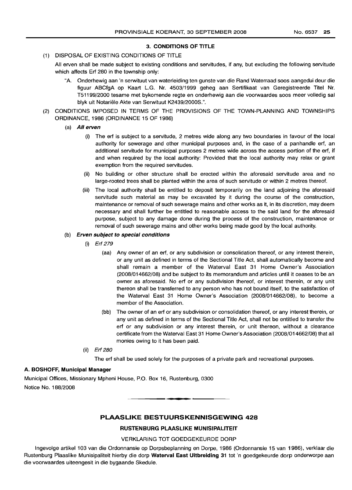### 3. CONDITIONS OF TITLE

### (1) DISPOSAL OF EXISTING CONDITIONS OF TITLE

All erven shall be made subject to existing conditions and servitudes, if any, but excluding the following servitude which affects Erf 280 in the township only:

- "A. Onderhewig aan 'n serwituut van waterleiding ten gunste van die Rand Waterraad soos aangedui deur die figuur ABCfgA op Kaart L.G. Nr. 4503/1999 geheg aan Sertifikaat van Geregistreerde Titel Nr. T51199/2000 tesame met bykomende regte en onderhewig aan die voorwaardes soos meer volledig sal blyk uit Notariële Akte van Serwituut K2439/2000S.".
- (2) CONDITIONS IMPOSED IN TERMS OF THE PROVISIONS OF THE TOWN-PLANNING AND TOWNSHIPS ORDINANCE, 1986 (ORDINANCE 15 OF 1986)
	- (a) All erven
		- (i) The erf is subject to a servitude, 2 metres wide along any two boundaries in favour of the local authority for sewerage and other municipal purposes and, in the case of a panhandle erf, an additional servitude for municipal purposes 2 metres wide across the access portion of the erf, if and when required by the local authority: Provided that the local authority may relax or grant exemption from the required servitudes.
		- (ii) No building or other structure shall be erected within the aforesaid servitude area and no large-rooted trees shall be planted within the area of such servitude or within 2 metres thereof.
		- (iii) The local authority shall be entitled to deposit temporarily on the land adjoining the aforesaid servitude such material as may be excavated by it during the course of the construction, maintenance or removal of such sewerage mains and other works as it, in its discretion, may deem necessary and shall further be entitled to reasonable access to the said land for the aforesaid purpose, subject to any damage done during the process of the construction, maintenance or removal of such sewerage mains and other works being made good by the local authority.

### (b) Erven subject to special conditions

- (i) Erf 279
	- (aa) Any owner of an erf, or any subdivision or consolidation thereof, or any interest therein, or any unit as defined in terms of the Sectional Title Act, shall automatically become and shall remain a member of the Waterval East 31 Home Owner's Association (2008/014662/08) and be subject to its memorandum and articles until it ceases to be an owner as aforesaid. No erf or any subdivision thereof, or interest therein, or any unit thereon shall be transferred to any person who has not bound itself, to the satisfaction of the Waterval East 31 Home Owner's Association (2008/014662/08), to become a member of the Association.
	- (bb) The owner of an erf or any subdivision or consolidation thereof, or any interest therein, or any unit as defined in terms of the Sectional Title Act, shall not be entitled to transfer the erf or any subdivision or any interest therein, or unit thereon, without a clearance certificate from the Waterval East 31 Home Owner's Association (2008/014662/08) that all monies owing to it has been paid.
- (ii) Erf280

The erf shall be used solely for the purposes of a private park and recreational purposes.

### A. BOSHOFF, Municipal Manager

Municipal Offices, Missionary Mpheni House, P.O. Box 16, Rustenburg, 0300 Notice No. 188/2008

### PLAASLIKE BESTUURSKENNISGEWING 428

**• •**

### RUSTENBURG PLAASLIKE MUNISIPALITEIT

### VERKLARING TOT GOEDGEKEURDE DORP

Ingevolge artikel 103 van die Ordonnansie op Dorpsbeplanning en Dorpe, 1986 (Ordonnansie 15 van 1986), verklaar die Rustenburg Plaaslike Munisipaliteit hierby die dorp Waterval East Uitbreiding 31 tot 'n goedgekeurde dorp onderworpe aan die voorwaardes uiteengesit in die bygaande Skedule.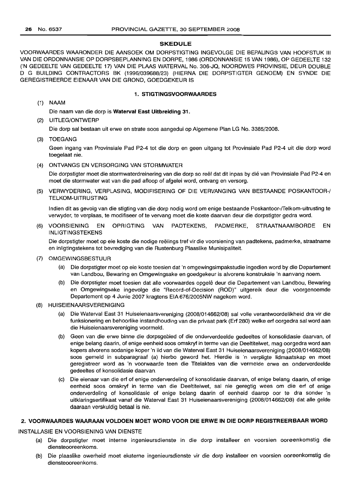### **SKEDULE**

VOORWAARDES WAARONDER DIE AANSOEK OM DORPSTIGTING INGEVOLGE DIE BEPALINGS VAN HOOFSTUK III VAN DIE ORDONNANSIE OP DORPSBEPLANNING EN DORPE, 1986 (ORDONNANSIE 15 VAN 1986), OP GEDEELTE 132 ('N GEDEELTE VAN GEDEELTE 17) VAN DIE PLAAS WATERVAL No. 306-JQ, NOORDWES PROVINSIE, DEUR DOUBLE D G BUILDING CONTRACTORS BK (1996/039688/23) (HIERNA DIE DORPSTIGTER GENOEM) EN SYNDE DIE GEREGISTREERDE EIENAAR VAN DIE GROND, GOEDGEKEUR IS

### 1. **STIGTINGSVOORWAARDES**

(1) NAAM

Die naam van die dorp is **Waterval East Uitbreiding** 31.

(2) UITLEG/ONTWERP

Die dorp sal bestaan uit erwe en strate soos aangedui op Aigemene Plan LG No. 3385/2008.

(3) TOEGANG

Geen ingang van Provinsiale Pad P2-4 tot die dorp en geen uitgang tot Provinsiale Pad P2-4 uit die dorp word toegelaat nie.

(4) ONTVANGS EN VERSORGING VAN STORMWATER

Die dorpstigter moet die stormwaterdreinering van die dorp so reel dat dit inpas by die van Provinsiale Pad P2-4 en moet die stormwater wat van die pad afloop of afgelei word, ontvang en versorg.

(5) VERWYDERING, VERPLASING, MODIFISERING OF DIE VERVANGING VAN BESTAANDE POSKANTOOR-/ TELKOM-UITRUSTING

Indien dit as gevolg van die stigting van die dorp nodig word om enige bestaande Poskantoor-lTelkom-uitrusting te verwyder, te verplaas, te modifiseer of te vervang moet die koste daarvan deur die dorpstigter gedra word.

(6) VOORSIENING EN OPRIGTING VAN PADTEKENS, PADMERKE, STRAATNAAMBORDE EN INLIGTINGSTEKENS

Die dorpstigter moet op eie koste die nodige reelings tref vir die voorsiening van padtekens, padmerke, straatname en inligtingstekens tot bevrediging van die Rustenburg Plaaslike Munisipaliteit.

- (7) OMGEWINGSBESTUUR
	- (a) Die dorpstigter moet op eie koste toesien dat 'n omgewingsimpakstudie ingedien word by die Departement van Landbou, Bewaring en Omgewingsake en goedgekeur is alvorens konstruksie 'n aanvang noem.
	- (b) Die dorpstigter moet toesien dat aile voorwaardes opqele deur die Departement van Landbou, Bewaring en Omgewingsake ingevolge die "Record-of-Decision (ROD)" uitgereik deur die voorgenoemde Departement op 4 Junie 2007 kragtens EIA 676/2005NW nagekom word.
- (8) HUISEIENAARSVERENIGING
	- (a) Die Waterval East 31 Huiseienaarsvereniging (2008/014662/08) sal volle verantwoordelikheid dra vir die funksionering en behoorlike instandhouding van die privaat park (Erf 280) welke erf oorgedra sal word aan die Huiseienaarsvereniging voormeld.
	- (b) Geen van die erwe binne die dorpsgebied of die onderverdeelde gedeeltes of konsolidasie daarvan, of enige belang daarin, of enige eenheid soos omskryf in terme van die Deeltitelwet, mag oorgedra word aan kopers alvorens sodanige koper'n lid van die Waterval East 31 Huiseienaarsvereniging (2008/014662/08) soos gemeld in subparagraaf (a) hierbo geword het. Hierdie is 'n verpligte lidmaatskap en moet geregistreer word as 'n voorwaarde teen die Titelaktes van die vermelde erwe en onderverdeelde gedeeltes of konsolidasie daarvan.
	- (c) Die eienaar van die erf of enige onderverdeling of konsolidasie daarvan, of enige belang daarin, of enige eenheid soos omskryf in terme van die Deeltitelwet, sal nie geregtig wees om die erf of enige onderverdeling of konsolidasie of enige belang daarin of eenheid daarop oor te dra sonder 'n uitklaringsertifikaat vanaf die Waterval East 31 Huiseienaarsvereniging (2008/014662/08) dat aile gelde daaraan verskuldig betaal is nie.

### 2. **VOORWAARDES WAARAAN VOLDOEN MOET WORD VOOR DIE ERWE IN DIE DORP REGISTREERBAAR WORD**

### INSTALLASIE EN VOORSIENING VAN DIENSTE

- (a) Die dorpstigter moet interne ingenieursdienste in die dorp installeer en voorsien ooreenkomstig die diensteooreenkoms.
- (b) Die plaaslike owerheid moet eksterne ingenieursdienste vir die dorp instalieer en voorsien ooreenkomstig die diensteooreenkoms.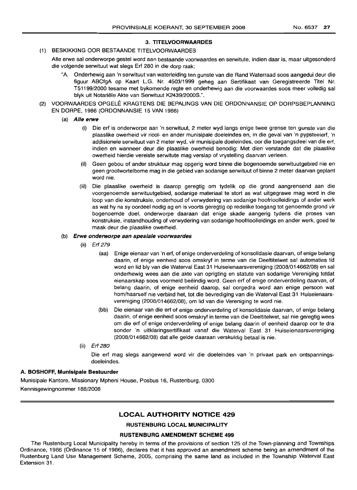### 3. TITELVOORWAARDES

#### (1) BESKIKKING OOR BESTAANDE TITELVOORWAARDES

Aile erwe sal onderworpe gestel word aan bestaande voorwaardes en serwitute, indien daar is, maar uitgesonderd die volgende serwituut wat slegs Ert 280 in die dorp raak:

- "A. Onderhewig aan 'n serwituut van waterleiding ten gunste van die Rand Waterraad 5005 aangedui deur die figuur ABCfgA op Kaart L.G. Nr. 4503/1999 geheg aan Sertifikaat van Geregistreerde Titel Nr. T51199/2000 tesame met bykomende regte en onderhewig aan die voorwaardes 5005 meer volledig sal blyk uit Notariele Akte van Serwituut K2439/2000S.".
- (2) VOORWAARDES OPGELE KRAGTENS DIE BEPALINGS VAN DIE ORDONNANSIE OP DORPSBEPLANNING EN DORPE, 1986 (ORDONNANSIE 15 VAN 1986)
	- (a) Aile erwe
		- (i) Die ert is onderworpe aan 'n serwituut, 2 meter wyd langs enige twee grense ten gunste van die plaaslike owerheid vir riool- en ander munisipale doeleindes en, in die geval van 'n pypsteelert, 'n addisionele serwituut van 2 meter wyd, vir munisipale doeleindes, oor die toegangsdeel van die ert, indien en wanneer deur die plaaslike owerheid benodig: Met dien verstande dat die plaaslike owerheid hierdie vereiste serwitute mag verslap of vrystelling daarvan verleen.
		- (ii) Geen gebou of ander struktuur mag opgerig word binne die bogenoemde serwituutgebied nie en geen grootwortelbome mag in die gebied van sodanige serwituut of binne 2 meter daarvan geplant word nie.
		- (iii) Die plaaslike owerheid is daarop geregtig om tydelik op die grond aangrensend aan die voorgenoemde serwituutgebied, sodanige materiaal te stort as wat uitgegrawe mag word in die loop van die konstruksie, onderhoud of verwydering van sodanige hoofrioolleidings of ander werk as wat hy na sy oordeel nodig ag en is voorts geregtig op redelike toegang tot genoemde grond vir bogenoemde doel, onderworpe daaraan dat enige skade aangerig tydens die proses van konstruksie, instandhouding of verwydering van sodanige hoofrioolleidings en ander werk, goed te maak deur die plaaslike owerheid.

#### (b) Erwe onderworpe aan spesiale voorwaardes

- (ii) Erf 279
	- (aa) Enige eienaar van 'n ert, of enige onderverdeling of konsolidasie daarvan, of enige belang daarin, of enige eenheid 5005 omskryf in terme van die Deeltitelwet sal automaties lid word en lid bly van die Waterval East 31 Huiseienaarsvereniging (2008/014662/08) en sal onderhewig wees aan die akte van oprigting en statute van sodanige Vereniging totdat eienaarskap soos voormeld beëindig word. Geen erf of enige onderverdeling daarvan, of belang daarin, of enige eenheid daarop, sal oorgedra word aan enige persoon wat hom/haarself nie verbind het, tot die bevrediging van die Waterval East 31 Huiseienaarsvereniging (2008/014662/08), om lid van die Vereniging te word nie.
	- (bb) Die eienaar van die ert of enige onderverdeling of konsolidasie daarvan, of enige belang daarin, of enige eenheid 5005 omskryf in terme van die Deeltitelwet, sal nie geregtig wees om die ert of enige onderverdeling of enige belang daarin of eenheid daarop oor te dra sonder 'n uitklaringsertifikaat vanaf die Waterval East 31 Huiseienaarsvereniging (2008/014662/08) dat aile gelde daaraan verskuldig betaal is nie.
- (ii) Erf 280

Die ert mag slegs aangewend word vir die doeleindes van 'n privaat park en ontspanningsdoeleindes.

### A. BOSHOFF, Munisipale Bestuurder

Munisipale Kantore, Missionary Mpheni House, Posbus 16, Rustenburg, 0300 Kennisgewingnommer 188/2008

### LOCAL AUTHORITY NOTICE 429

### RUSTENBURG LOCAL MUNICIPALITY

#### RUSTENBURG AMENDMENT SCHEME 499

The Rustenburg Local Municipality hereby in terms of the provisions of section 125 of the Town-planning and Townships Ordinance, 1986 (Ordinance 15 of 1986), declares that it has approved an amendment scheme being an amendment of the Rustenburg Land Use Management Scheme, 2005, comprising the same land as included in the Township Waterval East Extension 31.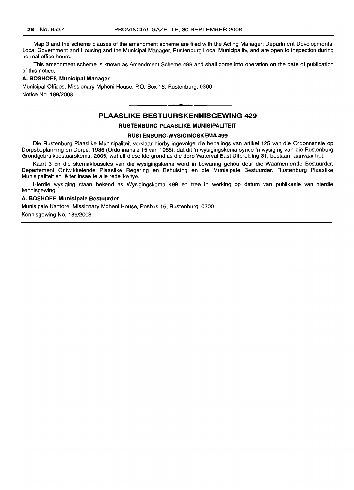Map 3 and the scheme clauses of the amendment scheme are filed with the Acting Manager: Department Developmental Local Government and Housing and the Municipal Manager, Rustenburg Local Municipality, and are open to inspection during normal office hours.

This amendment scheme is known as Amendment Scheme 499 and shall come into operation on the date of publication of this notice.

#### **A. BOSHOFF, Municipal Manager**

Municipal Offices, Missionary Mpheni House, P.O. Box 16, Rustenburg, 0300 Notice No. 189/2008

### **- PLAASLIKE BESTUURSKENNISGEWING <sup>429</sup>**

### **RUSTENBURG PLAASLIKE MUNISIPALITEIT**

#### **RUSTENBURG-WYSIGINGSKEMA 499**

Die Rustenburg Plaaslike Munisipaliteit verklaar hierby ingevolge die bepalings van artikel 125 van die Ordonnansie op Dorpsbeplanning en Dorpe, 1986 (Ordonnansie 15 van 1986), dat dit 'n wysigingskema synde 'n wysiging van die Rustenburg Grondgebruikbestuurskema, 2005, wat uit dieselfde grond as die dorp Waterval East Uitbreiding 31, bestaan, aanvaar het.

Kaart 3 en die skemaklousules van die wysigingskema word in bewaring gehou deur die Waarnemende Bestuurder, Departement Ontwikkelende Plaaslike Regering en Behuising en die Munisipale Bestuurder, Rustenburg Plaaslike Munisipaliteit en lê ter insae te alle redelike tye.

Hierdie wysiging staan bekend as Wysigingskema 499 en tree in werking op datum van publikasie van hierdie kennisgewing.

### **A. BOSHOFF, Munisipale Bestuurder**

Munisipale Kantore, Missionary Mpheni House, Posbus 16, Rustenburg, 0300 Kennisgewing No. 189/2008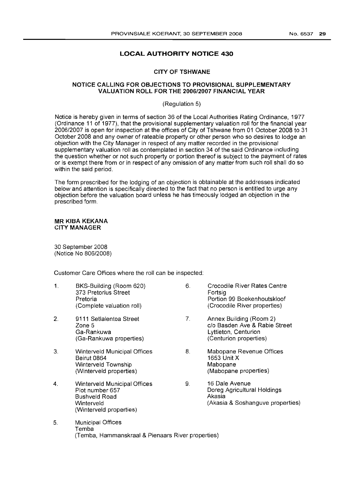### **LOCAL AUTHORITY NOTICE 430**

### **CITY OF TSHWANE**

### **NOTICE CALLING FOR OB..IECTIONS TO PROVISIONAL SUPPLEMENTARY VALUATION ROLL FOR THE 2006/2007 FINANCIAL YEAR**

(Regulation 5)

Notice is hereby given in terms of section 36 of the Local Authorities Rating Ordinance, 1977 (Ordinance 11 of 1977), that the provisional supplementary valuation roll for the financial year *2006/2007* is open for inspection at the offices of City of Tshwane from 01 October 2008 to 31 October 2008 and any owner of rateable property or other person who so desires to lodge an objection with the City Manager in respect of any matter recorded in the provisional supplementary valuation roll as contemplated in section 34 of the said Ordinance including the question whether or not such property or portion thereof is subject to the payment of rates or is exempt there from or in respect of any omission of any matter from such roll shall do so within the said period.

The form prescribed for the lodging of an objection is obtainable at the addresses indicated below and attention is specifically directed to the fact that no person is entitled to urge any objection before the valuation board unless he has timeously lodged an objection in the prescribed form.

### **MR KIBA KEKANA CITY MANAGER**

30 September 2008 (Notice No 806/2008)

Customer Care Offices where the roll can be inspected:

- 373 Pretorius Street
- (Ga-Rankuwa properties)
- 3. Winterveld Municipal Offices 8. Mabopane Revenue Offices<br>Beirut 0864 653 Unit X (Winterveld properties)
- 4. Winterveld Municipal Offices 9. 16 Dale Avenue<br>Plot number 657 **Doreg Agriculture** Bushveld Road<br>Winterveld (Winterveld properties)
- 1. BKS-Building (Room 620) 6. Crocodile River Rates Centre Pretoria Portion 99 Boekenhoutskloof<br>
(Complete valuation roll) (Crocodile River properties) (Crocodile River properties)
- 2. 9111 Setlalentoa Street 7. Annex BUilding (Room 2) Zone 5 c/o Basden Ave & Rabie Street Lyttleton, Centurion<br>(Centurion properties)
	- 1653 Unit X<br>Mabopane Winterveld Township example and the Mabopane Mabopane Mabopane (Winterveld properties)
		- Doreg Agricultural Holdings<br>Akasia (Akasia & Soshanguve properties)
- 5. Municipal Offices Temba (Temba, Hammanskraal & Pienaars River properties)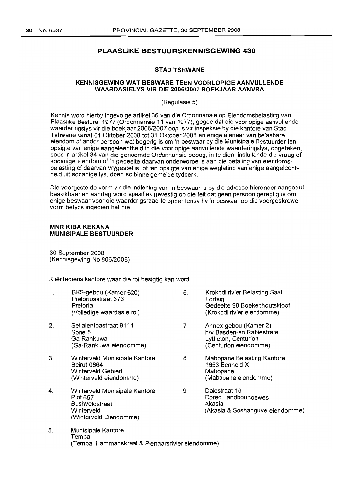# **PLAASLIKE BESTUURSKENNISGEWING 430**

### **STAD TSHWANE**

### **KENNISGEWING WAT BESWARE TEEN VOORLOPIGE AANVULLENDE WAARDASIELYS VIR DIE 2006/2007 BOEKJAAR AANVRA**

(Regulasie 5)

Kennis word hierby ingevolge artikel 36 van die Ordonnansie op Eiendomsbelasting van Plaaslike Besture, 1977 (Ordonnansie 11 van 1977), gegee dat die voorlopige aanvullende waarderingslys vir die boekjaar *2006/2007* oop is vir inspeksie by die kantore van Stad Tshwane vanaf 01 Oktober 2008 tot 31 Oktober 2008 en enige eienaar van belasbare eiendom of ander persoon wat begerig is am 'n beswaar by die Munisipale Bestuurder ten opsigte van enige aangeleentheid in die voorlopige aanvullende waarderingslys, opgeteken, 5005 in artikel 34 van die genoemde Ordonnansie beoog, in te dien, insluitende die vraag of sodanige eiendom of 'n gedeelte daarvan onderworpe is aan die betaling van eiendomsbelasting of daarvan vrygestel is, of ten opsigte van enige weglating van enige aangeleentheid uit sodanige Iys, doen so binne gemelde tydperk.

Die voorgestelde vorm vir die indiening van 'n beswaar is by die adresse hieronder aangedui beskikbaar en aandag word spesifiek gevestig op die feit dat geen persoon geregtig is am enige beswaar voor die waarderigsraad te opper tensy hy 'n beswaar op die voorgeskrewe vorm betyds ingedien het nie.

### **MNR KIBA KEKANA MUNISIPALE BESTUURDER**

30 September 2008 (Kennisgewing No 806/2008)

Klientediens kantore waar die rol besigtig kan word:

- 1. BKS-gebou (Kamer 620) Pretoriusstraat 373 Pretoria (Volledige waardasie rol)
- 2. Setlalentoastraat 9111 Sone 5 Ga-Rankuwa (Ga-Rankuwa eiendomme)
- 3. Winterveld Munisipale Kantore Beirut 0864 Winterveld Gebied (Winterveld eiendomme)
- 4. Winterveld Munisipale Kantore Plot 657 Bushveldstraat Winterveld (Winterveld Eiendomme)
- 6. Krokodilrivier Belasting Saal Fortsig Gedeelte 99 Boekenhoutskloof (Krokodilrivier eiendomme)
- 7. Annex-gebou (Kamer 2) h/v Basden-en Rabiestrate Lyttleton, Centurion (Centurion eiendomme)
- 8. Mabopane Belasting Kantore 1653 Eenheid X Mabopane (Mabopane eiendomme)
- 9. Dalestraat 16 Doreg Landbouhoewes Akasia (Akasia & Soshanguve eiendomme)
- 5. Munisipale Kantore Temba (Temba, Hammanskraal & Pienaarsrivier eiendomme)